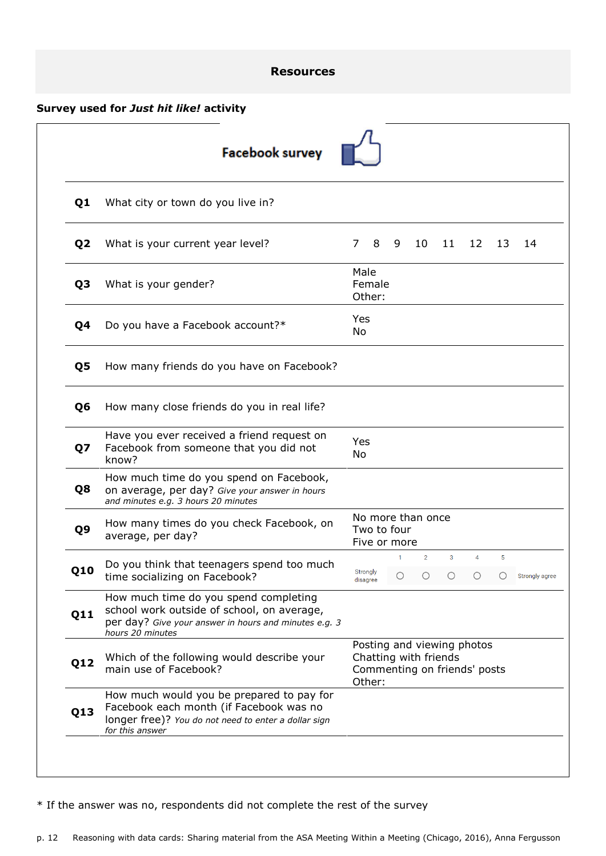## **Resources**

## **Survey used for** *Just hit like!* **activity**

|                | <b>Facebook survey</b>                                                                                                                                           |                                                                                               |    |                |    |    |    |                |
|----------------|------------------------------------------------------------------------------------------------------------------------------------------------------------------|-----------------------------------------------------------------------------------------------|----|----------------|----|----|----|----------------|
| Q <sub>1</sub> | What city or town do you live in?                                                                                                                                |                                                                                               |    |                |    |    |    |                |
| Q <sub>2</sub> | What is your current year level?                                                                                                                                 | 8<br>7                                                                                        | 9  | 10             | 11 | 12 | 13 | 14             |
| Q <sub>3</sub> | What is your gender?                                                                                                                                             | Male<br>Female<br>Other:                                                                      |    |                |    |    |    |                |
| Q4             | Do you have a Facebook account?*                                                                                                                                 | Yes<br>No                                                                                     |    |                |    |    |    |                |
| Q5             | How many friends do you have on Facebook?                                                                                                                        |                                                                                               |    |                |    |    |    |                |
| Q6             | How many close friends do you in real life?                                                                                                                      |                                                                                               |    |                |    |    |    |                |
| Q7             | Have you ever received a friend request on<br>Facebook from someone that you did not<br>know?                                                                    | Yes<br>No                                                                                     |    |                |    |    |    |                |
| Q8             | How much time do you spend on Facebook,<br>on average, per day? Give your answer in hours<br>and minutes e.g. 3 hours 20 minutes                                 |                                                                                               |    |                |    |    |    |                |
| Q9             | How many times do you check Facebook, on<br>average, per day?                                                                                                    | No more than once<br>Two to four<br>Five or more                                              |    |                |    |    |    |                |
| Q10            | Do you think that teenagers spend too much<br>time socializing on Facebook?                                                                                      | Strongly<br>disagree                                                                          | () | $\overline{2}$ | 3  | 4  | 5  | Strongly agree |
| Q11            | How much time do you spend completing<br>school work outside of school, on average,<br>per day? Give your answer in hours and minutes e.g. 3<br>hours 20 minutes |                                                                                               |    |                |    |    |    |                |
| Q12            | Which of the following would describe your<br>main use of Facebook?                                                                                              | Posting and viewing photos<br>Chatting with friends<br>Commenting on friends' posts<br>Other: |    |                |    |    |    |                |
| Q13            | How much would you be prepared to pay for<br>Facebook each month (if Facebook was no<br>longer free)? You do not need to enter a dollar sign<br>for this answer  |                                                                                               |    |                |    |    |    |                |

\* If the answer was no, respondents did not complete the rest of the survey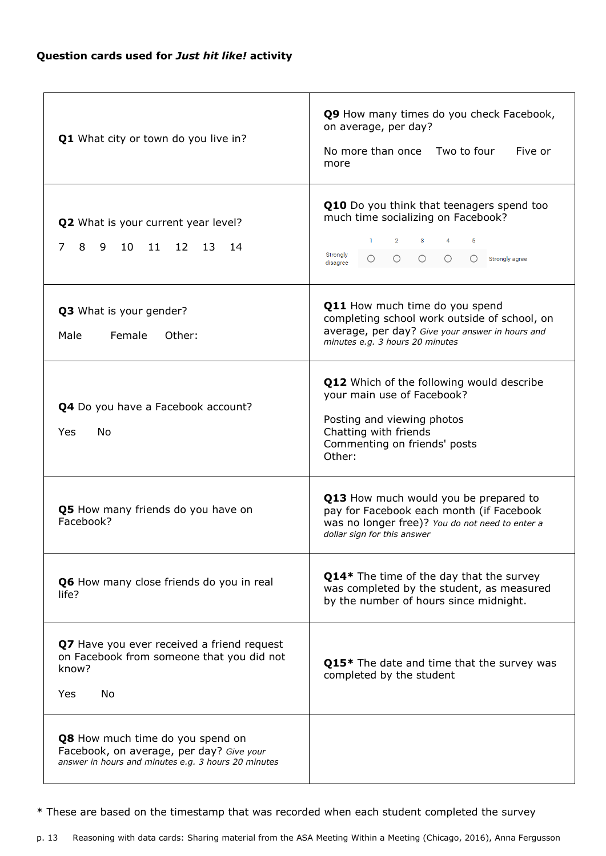| Q1 What city or town do you live in?                                                                                                | Q9 How many times do you check Facebook,<br>on average, per day?<br>No more than once Two to four<br>Five or<br>more                                                                                                             |
|-------------------------------------------------------------------------------------------------------------------------------------|----------------------------------------------------------------------------------------------------------------------------------------------------------------------------------------------------------------------------------|
| <b>Q2</b> What is your current year level?<br>10<br>11 12<br>7<br>8<br>13<br>14<br>9.                                               | Q10 Do you think that teenagers spend too<br>much time socializing on Facebook?<br>$\mathbf{1}$<br>$\overline{2}$<br>3<br>5<br>Δ<br>Strongly<br>O<br>$\bigcirc$<br>$\bigcirc$<br>$\bigcirc$<br><b>Strongly agree</b><br>disagree |
| <b>Q3</b> What is your gender?<br>Female<br>Male<br>Other:                                                                          | Q11 How much time do you spend<br>completing school work outside of school, on<br>average, per day? Give your answer in hours and<br>minutes e.g. 3 hours 20 minutes                                                             |
| Q4 Do you have a Facebook account?<br>No<br><b>Yes</b>                                                                              | Q12 Which of the following would describe<br>your main use of Facebook?<br>Posting and viewing photos<br>Chatting with friends<br>Commenting on friends' posts<br>Other:                                                         |
| <b>Q5</b> How many friends do you have on<br>Facebook?                                                                              | Q13 How much would you be prepared to<br>pay for Facebook each month (if Facebook<br>was no longer free)? You do not need to enter a<br>dollar sign for this answer                                                              |
| Q6 How many close friends do you in real<br>life?                                                                                   | Q14* The time of the day that the survey<br>was completed by the student, as measured<br>by the number of hours since midnight.                                                                                                  |
| Q7 Have you ever received a friend request<br>on Facebook from someone that you did not<br>know?<br>Yes<br>No.                      | Q15* The date and time that the survey was<br>completed by the student                                                                                                                                                           |
| Q8 How much time do you spend on<br>Facebook, on average, per day? Give your<br>answer in hours and minutes e.g. 3 hours 20 minutes |                                                                                                                                                                                                                                  |

\* These are based on the timestamp that was recorded when each student completed the survey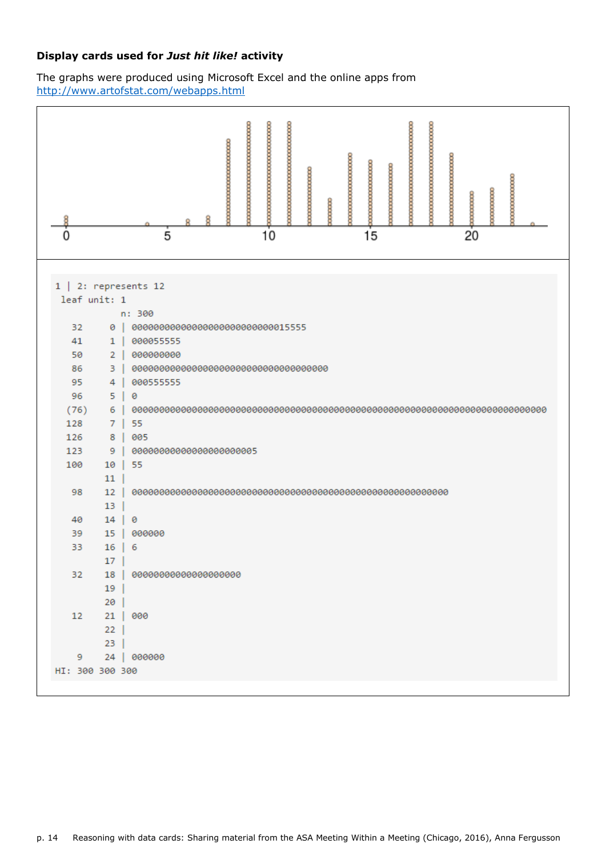## **Display cards used for** *Just hit like!* **activity**

The graphs were produced using Microsoft Excel and the online apps from <http://www.artofstat.com/webapps.html>

| 8<br>0                     |                | 5                          | 0000000000000000000 | 10 | 00000000000000000000000 | <b>Boooo</b> | 0000000000000000<br>15 | 0000000000000 |  | 3333333<br>20 | 000000000 | 00000000000 |  |
|----------------------------|----------------|----------------------------|---------------------|----|-------------------------|--------------|------------------------|---------------|--|---------------|-----------|-------------|--|
| $1 \mid 2$ : represents 12 |                |                            |                     |    |                         |              |                        |               |  |               |           |             |  |
| leaf unit: 1               |                |                            |                     |    |                         |              |                        |               |  |               |           |             |  |
|                            |                | n: 300                     |                     |    |                         |              |                        |               |  |               |           |             |  |
| 32                         | 0              |                            |                     |    |                         |              |                        |               |  |               |           |             |  |
| 41                         | $\mathbf{1}$   | 000055555                  |                     |    |                         |              |                        |               |  |               |           |             |  |
| 50                         | $\overline{2}$ | 000000000                  |                     |    |                         |              |                        |               |  |               |           |             |  |
| 86                         | з.             |                            |                     |    |                         |              |                        |               |  |               |           |             |  |
| 95                         | 4              | 000555555                  |                     |    |                         |              |                        |               |  |               |           |             |  |
| 96                         | 5              | 0                          |                     |    |                         |              |                        |               |  |               |           |             |  |
| (76)                       | 6              |                            |                     |    |                         |              |                        |               |  |               |           |             |  |
| 128                        | 7              | 55                         |                     |    |                         |              |                        |               |  |               |           |             |  |
| 126                        | 8              | 005                        |                     |    |                         |              |                        |               |  |               |           |             |  |
| 123                        | 9              | 0000000000000000000005     |                     |    |                         |              |                        |               |  |               |           |             |  |
| 100                        | 10             | 55                         |                     |    |                         |              |                        |               |  |               |           |             |  |
|                            | 11             |                            |                     |    |                         |              |                        |               |  |               |           |             |  |
| 98                         | 12             |                            |                     |    |                         |              |                        |               |  |               |           |             |  |
|                            | 13             |                            |                     |    |                         |              |                        |               |  |               |           |             |  |
| 40                         | 14             | 0                          |                     |    |                         |              |                        |               |  |               |           |             |  |
| 39                         | 15             | 000000                     |                     |    |                         |              |                        |               |  |               |           |             |  |
| 33                         | 16             | 6                          |                     |    |                         |              |                        |               |  |               |           |             |  |
|                            | $17 \mid$      |                            |                     |    |                         |              |                        |               |  |               |           |             |  |
| 32                         |                | 18   000000000000000000000 |                     |    |                         |              |                        |               |  |               |           |             |  |
|                            | 19             |                            |                     |    |                         |              |                        |               |  |               |           |             |  |
|                            | 20             |                            |                     |    |                         |              |                        |               |  |               |           |             |  |
| 12                         |                | 21 000                     |                     |    |                         |              |                        |               |  |               |           |             |  |
|                            | 22             |                            |                     |    |                         |              |                        |               |  |               |           |             |  |
|                            | 23             |                            |                     |    |                         |              |                        |               |  |               |           |             |  |
|                            |                | 9 24   000000              |                     |    |                         |              |                        |               |  |               |           |             |  |
| HI: 300 300 300            |                |                            |                     |    |                         |              |                        |               |  |               |           |             |  |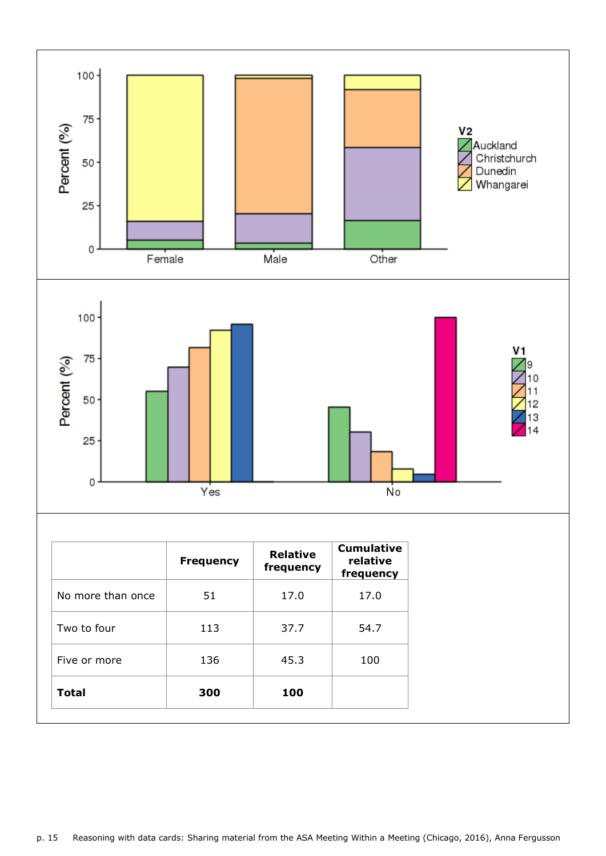

|                   | <b>Frequency</b> | <b>Relative</b><br>frequency | <b>Cumulative</b><br>relative<br>frequency |
|-------------------|------------------|------------------------------|--------------------------------------------|
| No more than once | 51               | 17.0                         | 17.0                                       |
| Two to four       | 113              | 37.7                         | 54.7                                       |
| Five or more      | 136              | 45.3                         | 100                                        |
| Total             | 300              | 100                          |                                            |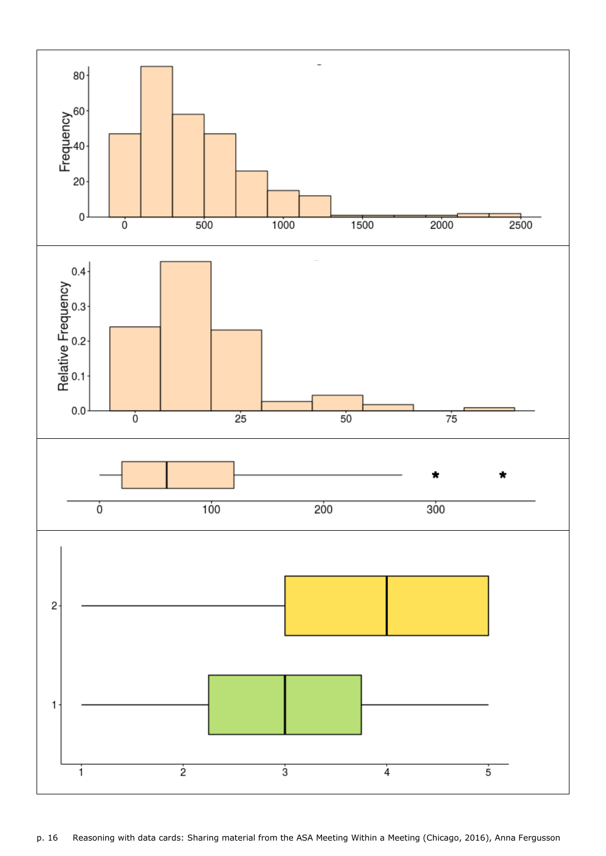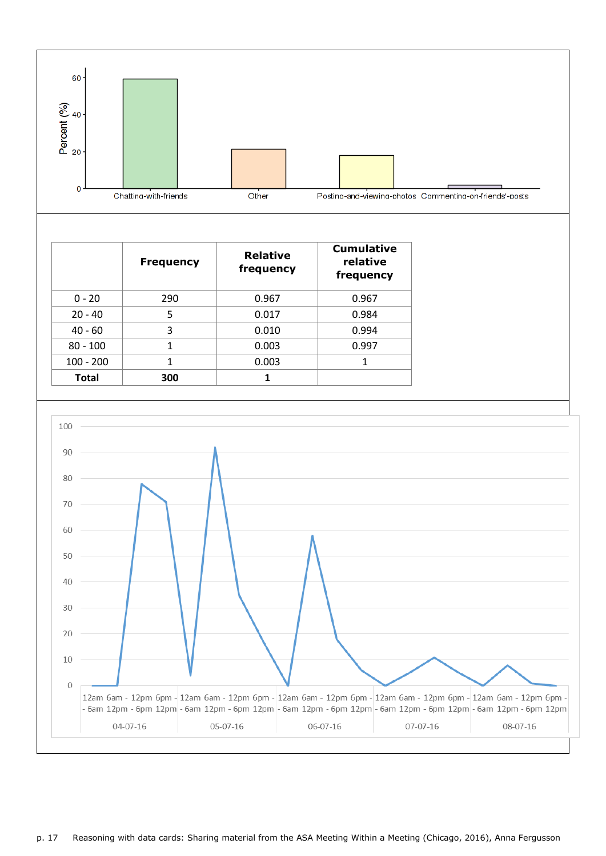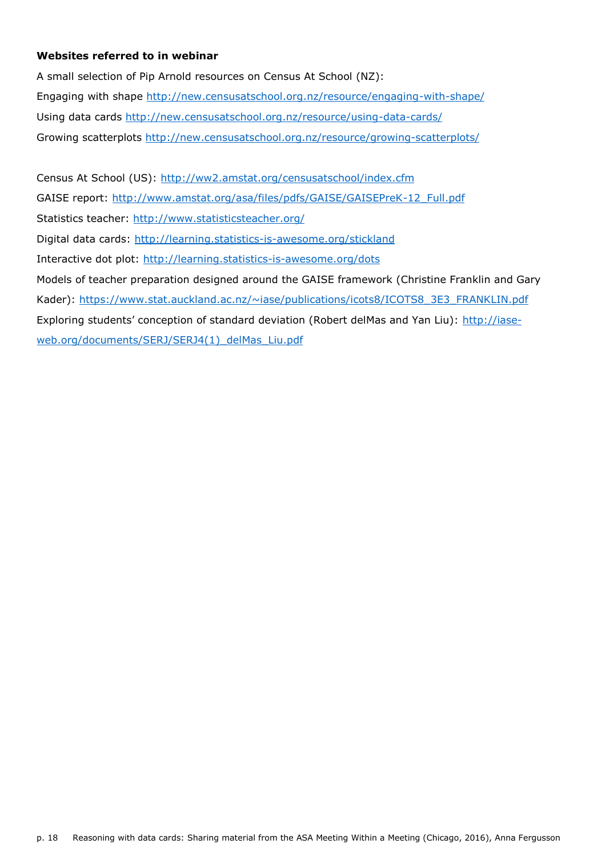## **Websites referred to in webinar**

A small selection of Pip Arnold resources on Census At School (NZ): Engaging with shape<http://new.censusatschool.org.nz/resource/engaging-with-shape/> Using data cards<http://new.censusatschool.org.nz/resource/using-data-cards/> Growing scatterplots<http://new.censusatschool.org.nz/resource/growing-scatterplots/>

Census At School (US): http[://ww2.amstat.org/censusatschool/index.cf](https://goo.gl/forms/7Uy6P5fZey7iqAwA3)m GAISE report: http://w[ww.amstat.org/asa/files/pdfs/GAISE/GAISEPreK-12](http://ww2.amstat.org/censusatschool/index.cfm)\_Full.pdf Statistics teac[her: http://www.statisticsteacher.org/](http://www.amstat.org/asa/files/pdfs/GAISE/GAISEPreK-12_Full.pdf) Digital data cards: [http://learning.statistics-is-aweso](http://www.statisticsteacher.org/)me.org/stickland Interactive dot plo[t: http://learning.statistics-is-awesome.org/dots](http://learning.statistics-is-awesome.org/stickland) Models of teacher pr[eparation designed around the GAISE framewor](http://learning.statistics-is-awesome.org/dots)k (Christine Franklin and Gary Kader): [https://www.stat.auckland.ac.nz/~iase/publications/icots8/ICOTS8\\_3E3\\_FRANKLIN.pdf](https://www.stat.auckland.ac.nz/~iase/publications/icots8/ICOTS8_3E3_FRANKLIN.pdf) Exploring students' conception of standard deviation (Robert delMas and Yan Liu): [http://iase](http://iase-web.org/documents/SERJ/SERJ4(1)_delMas_Liu.pdf)web.org/documents/SERJ/SERJ4(1) delMas Liu.pdf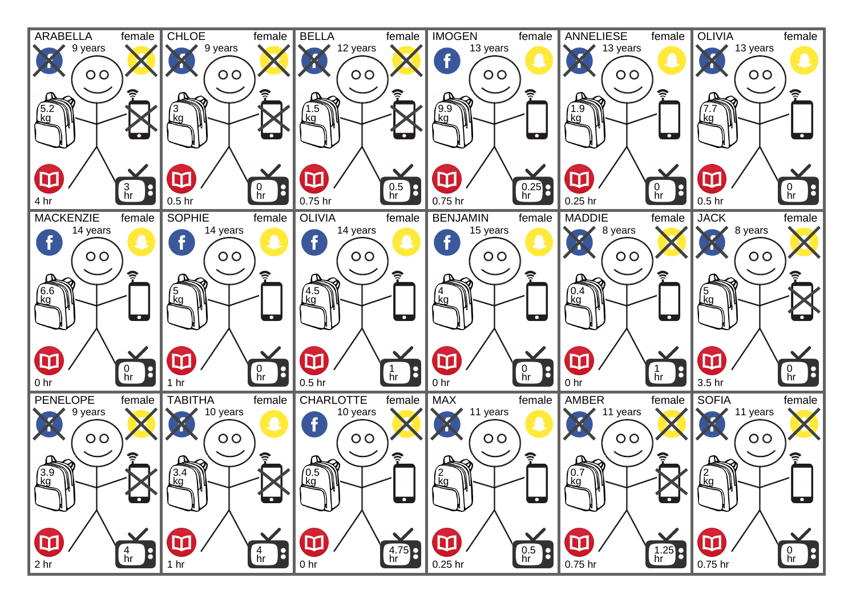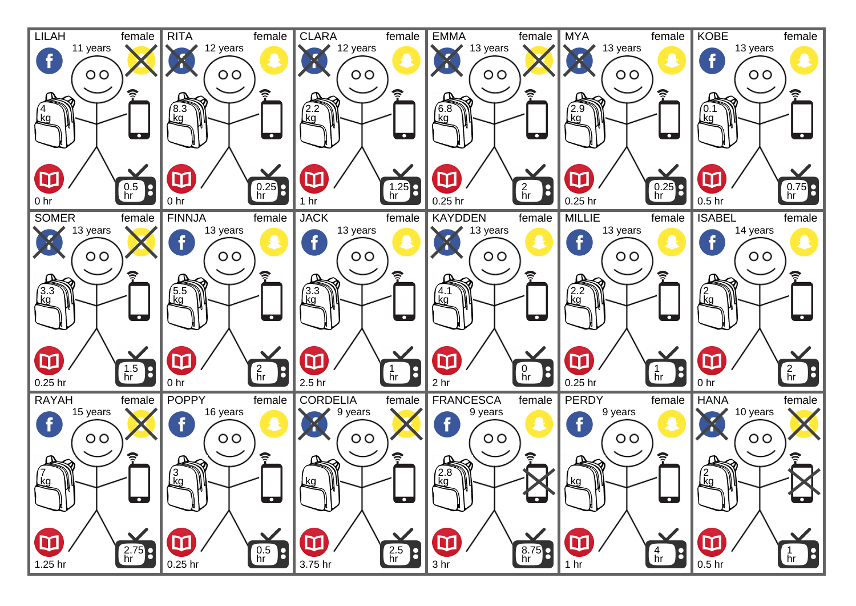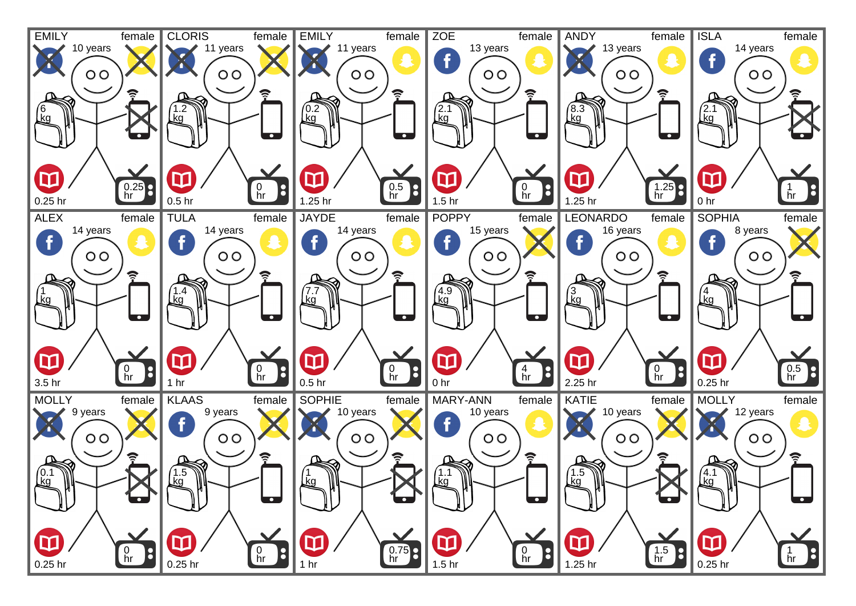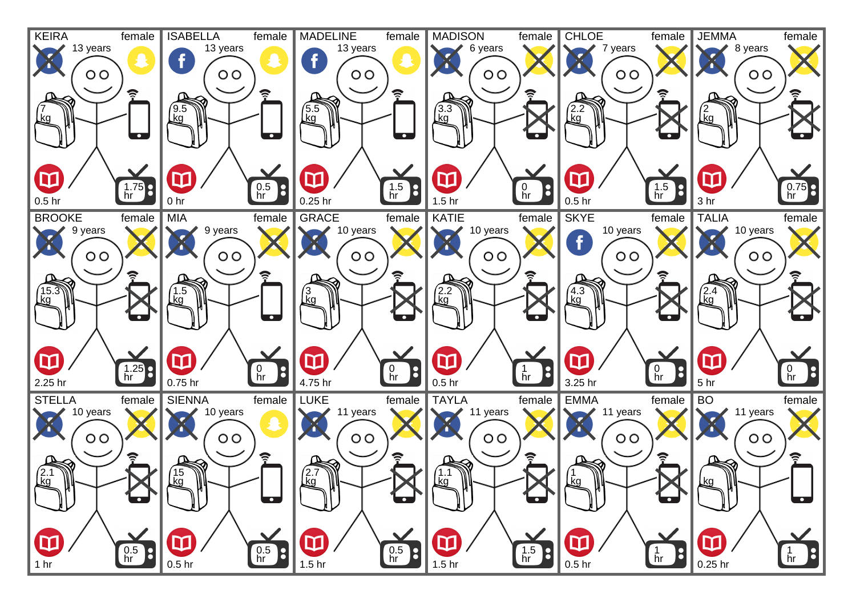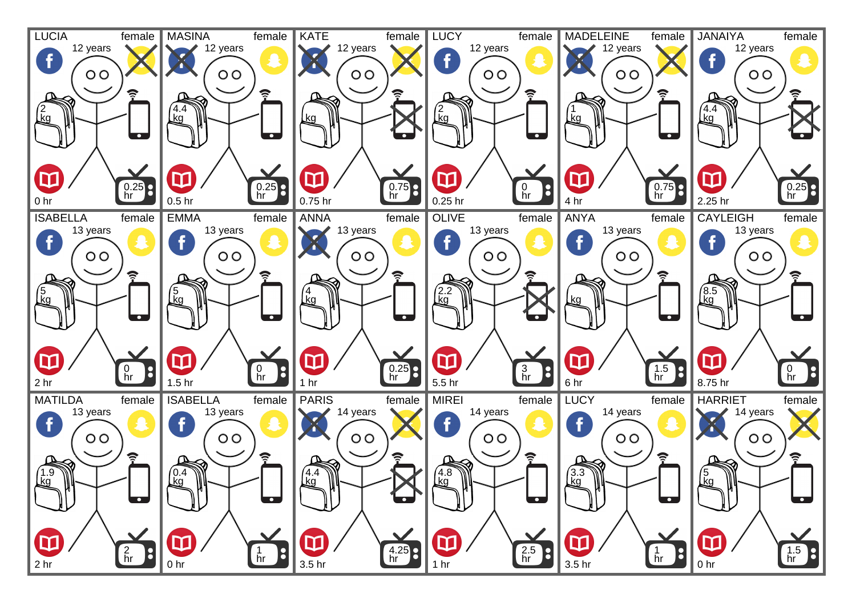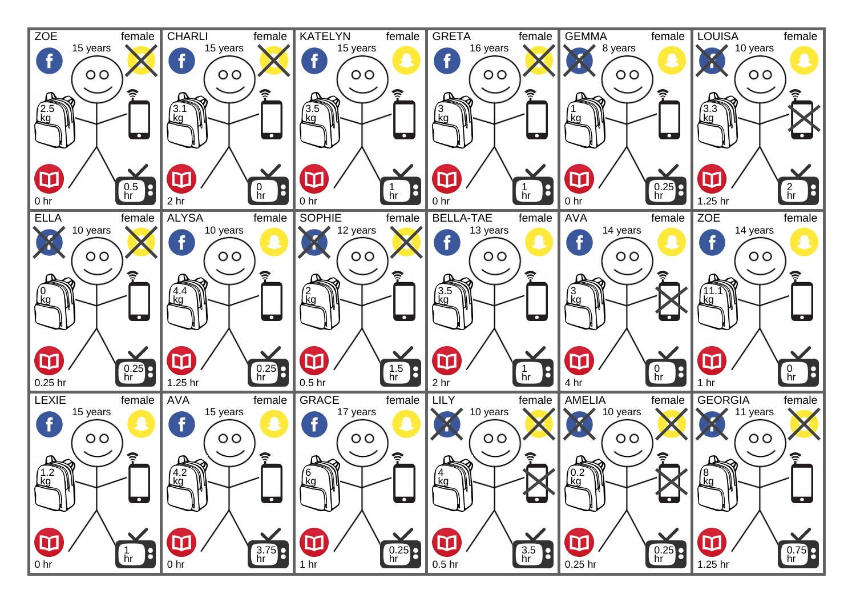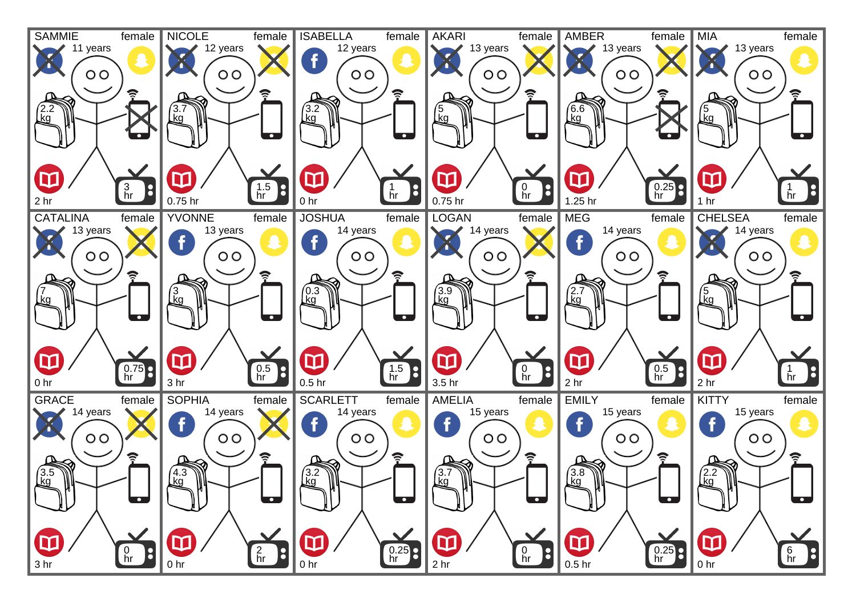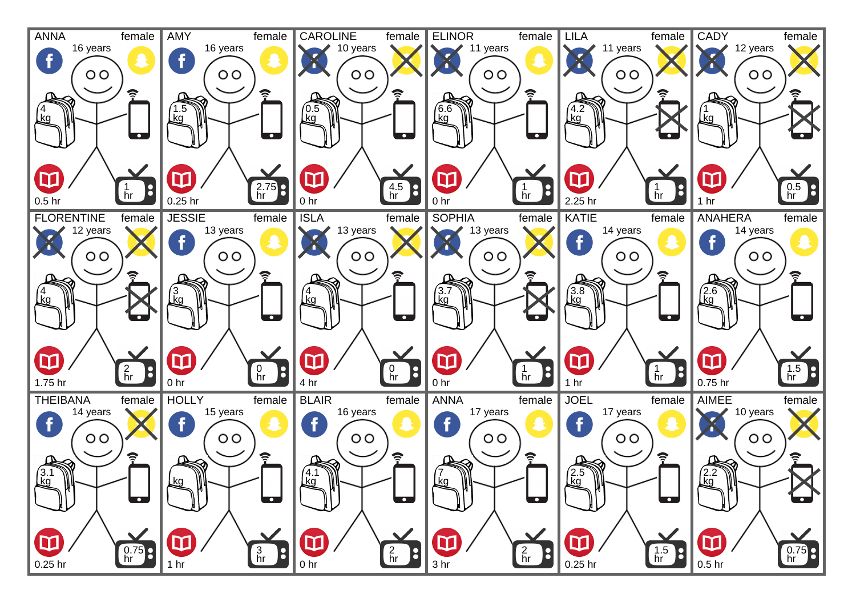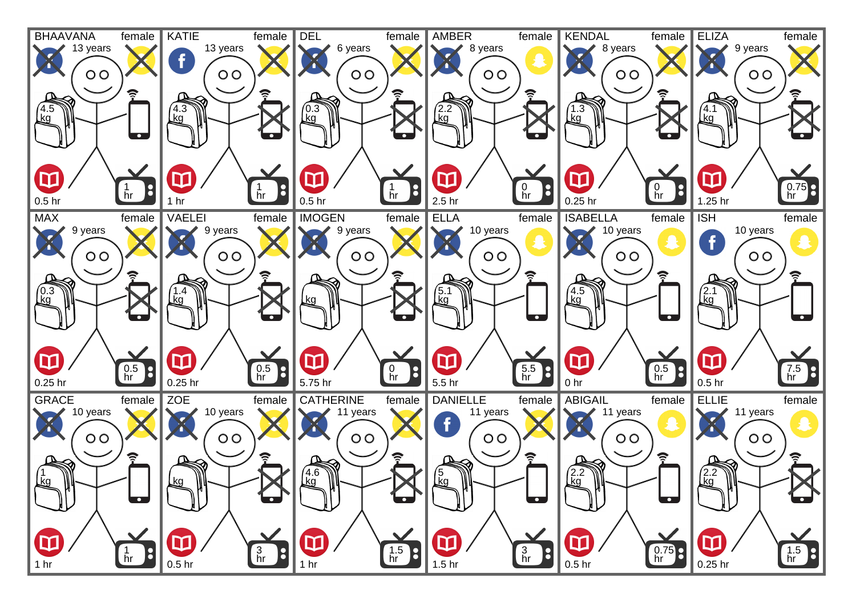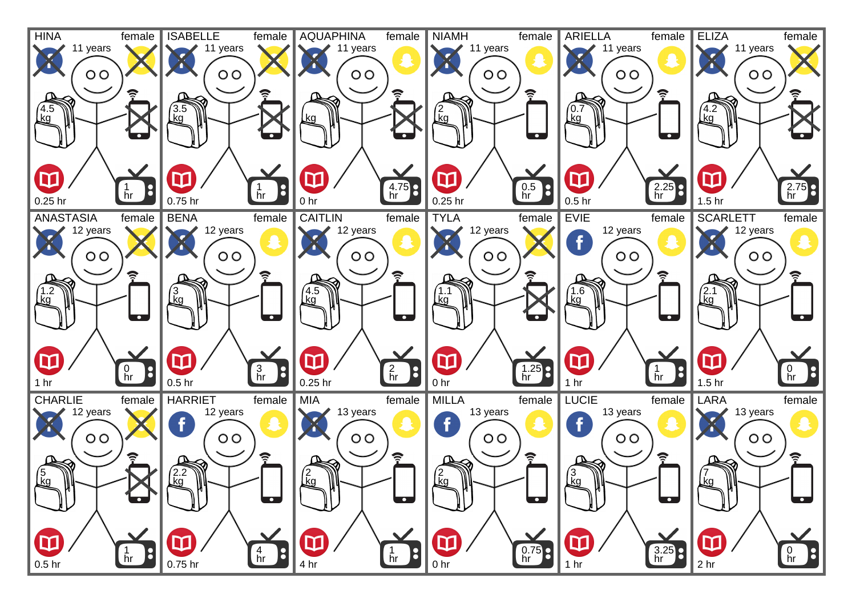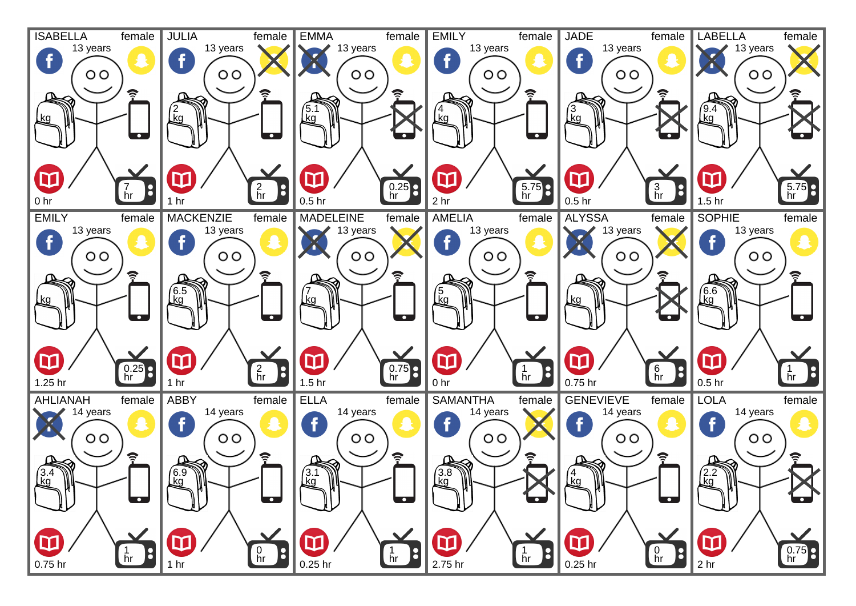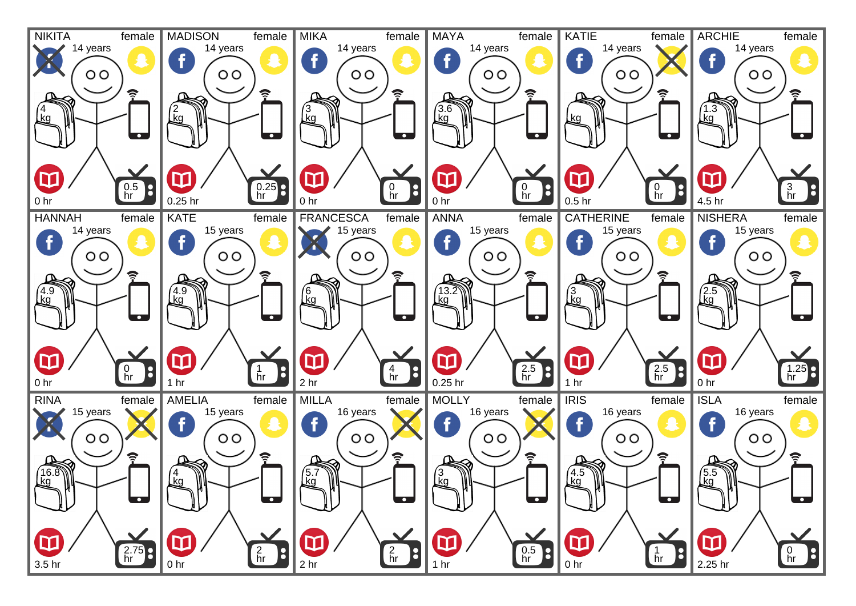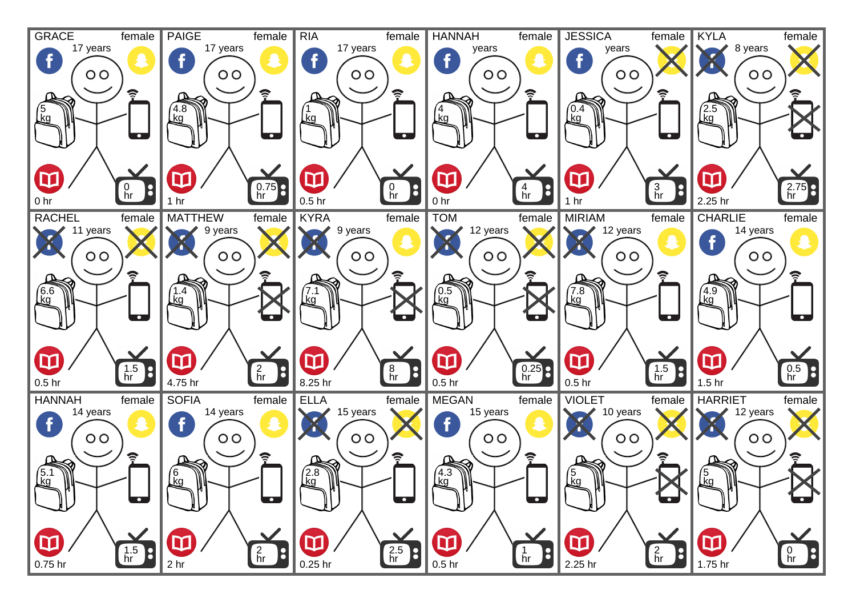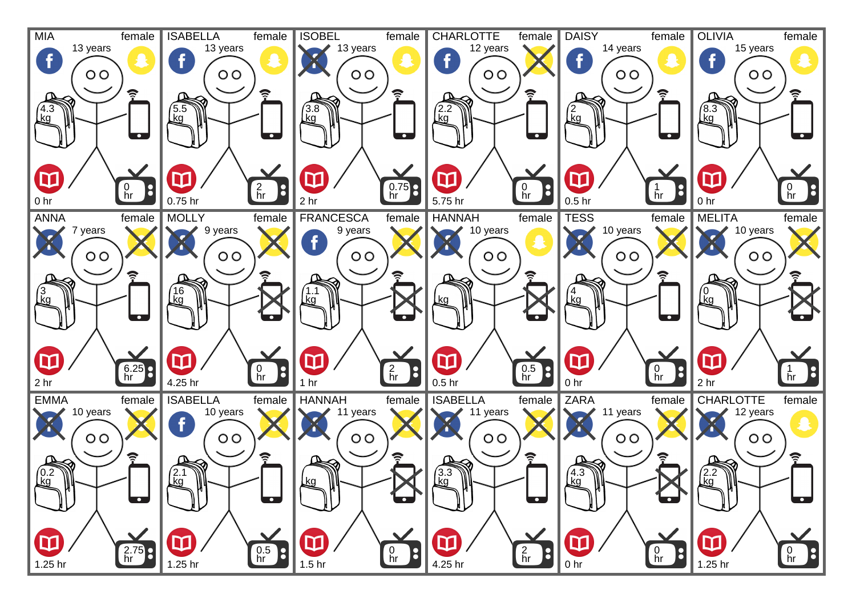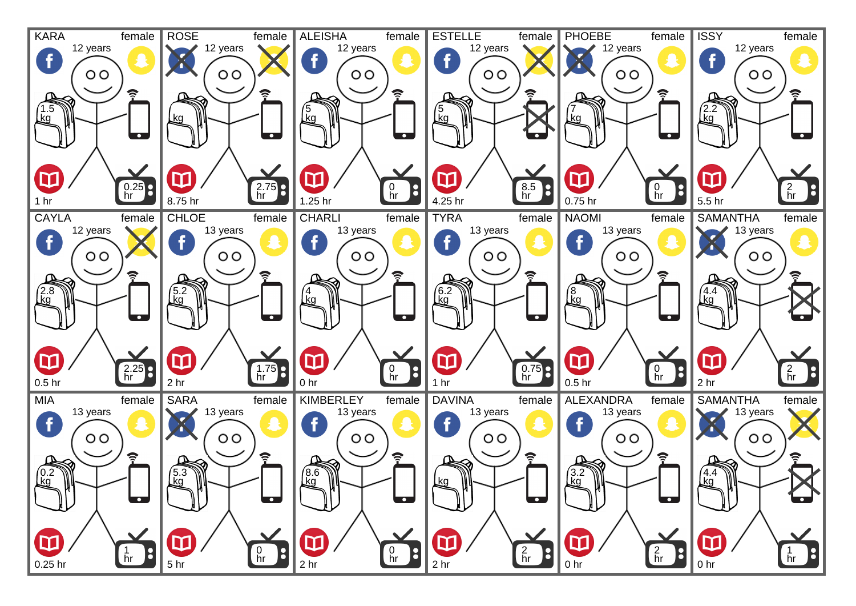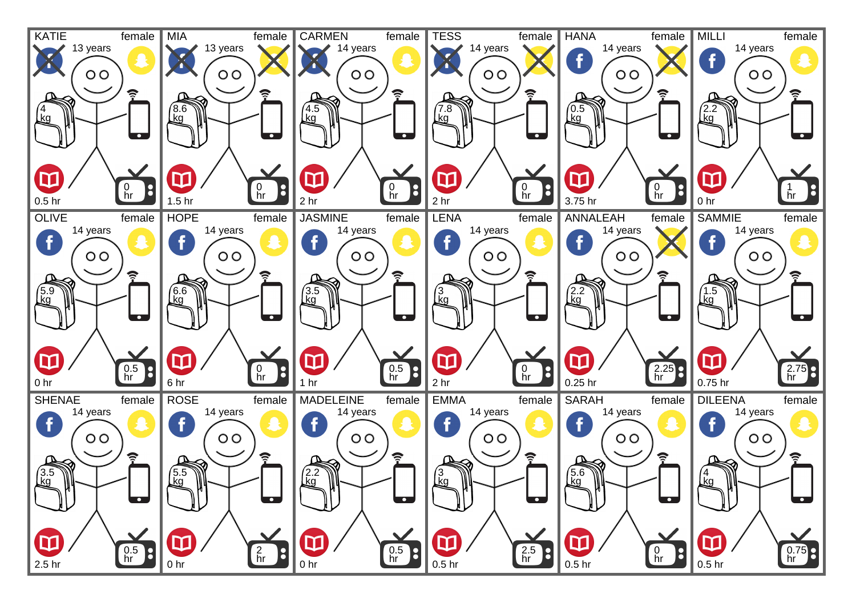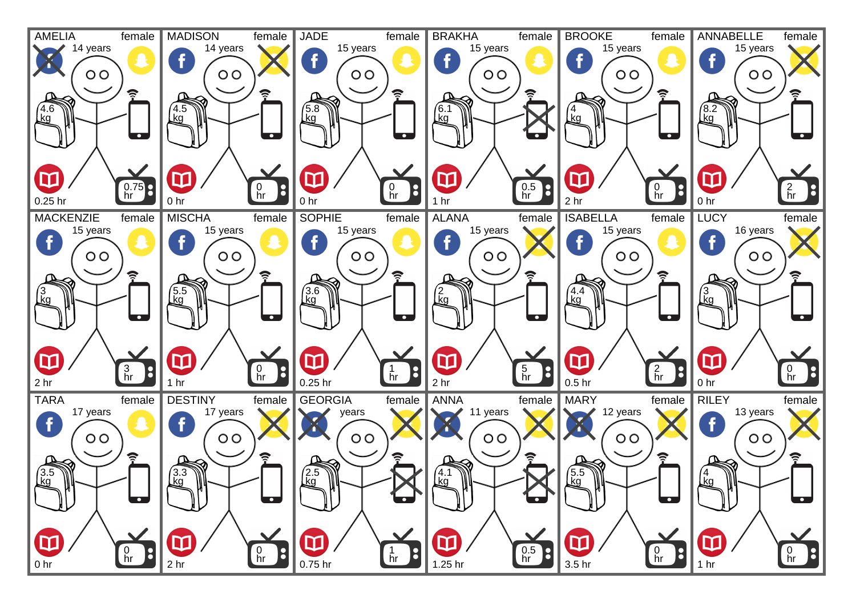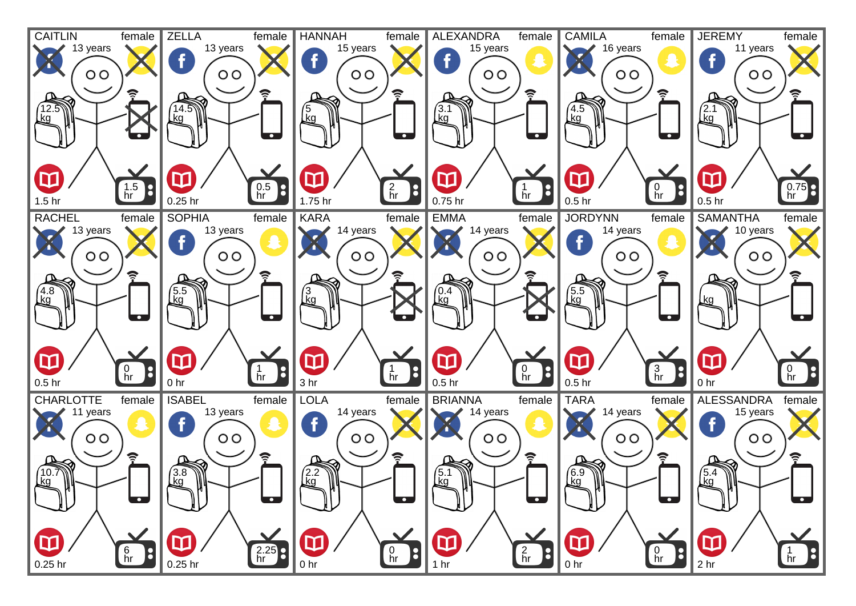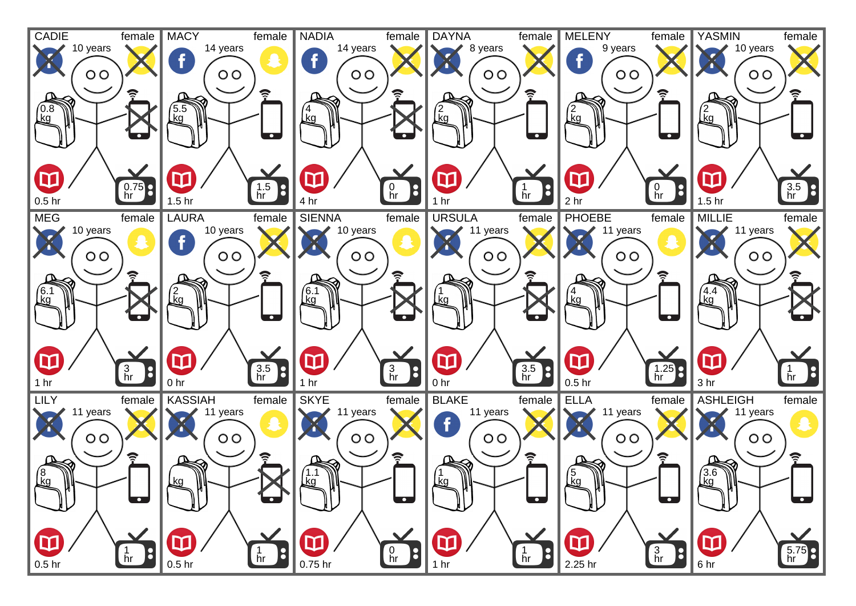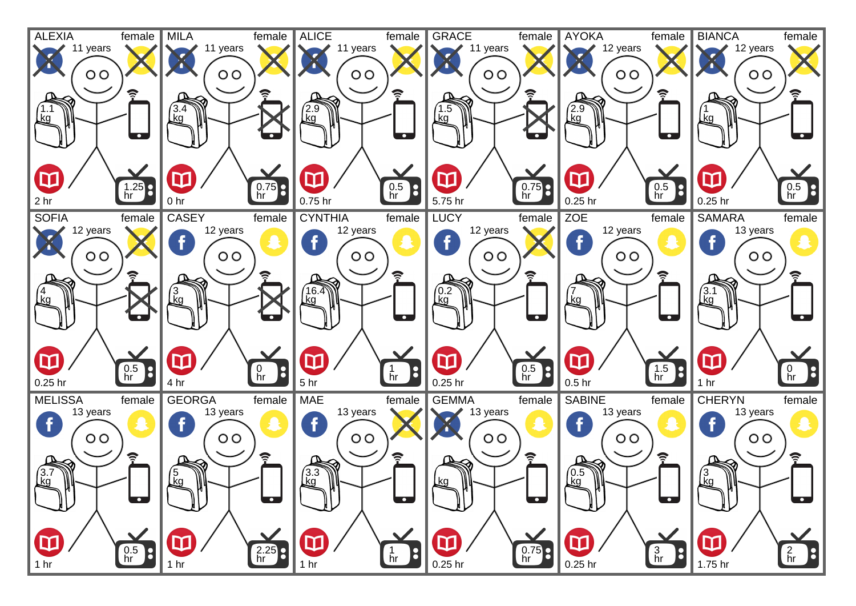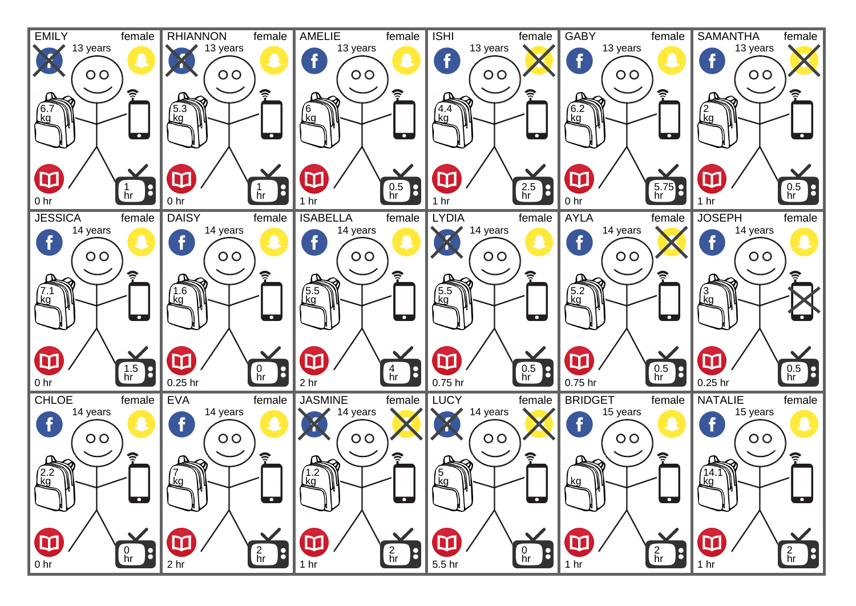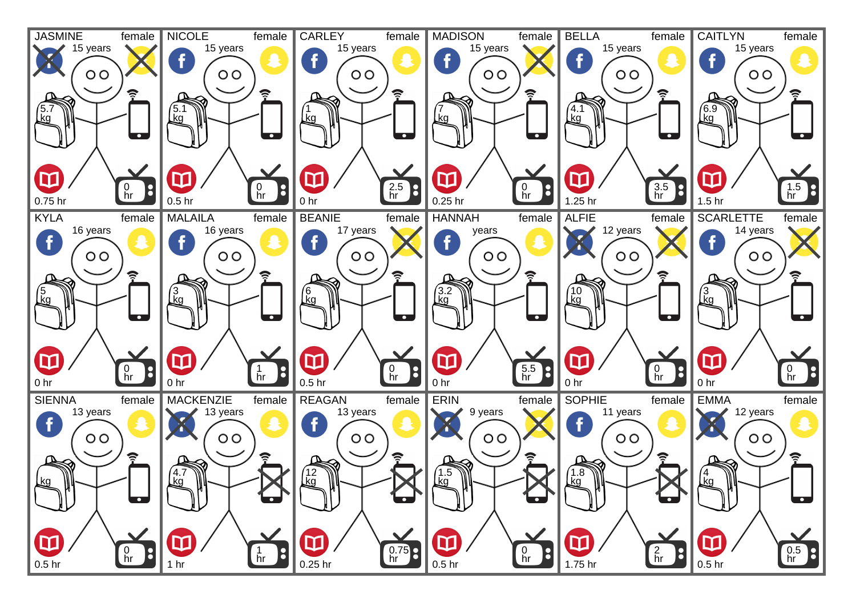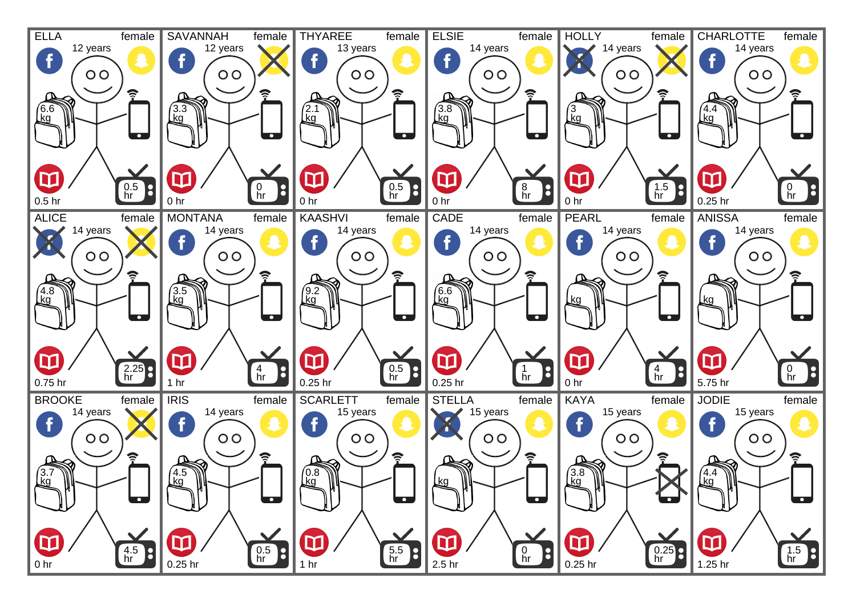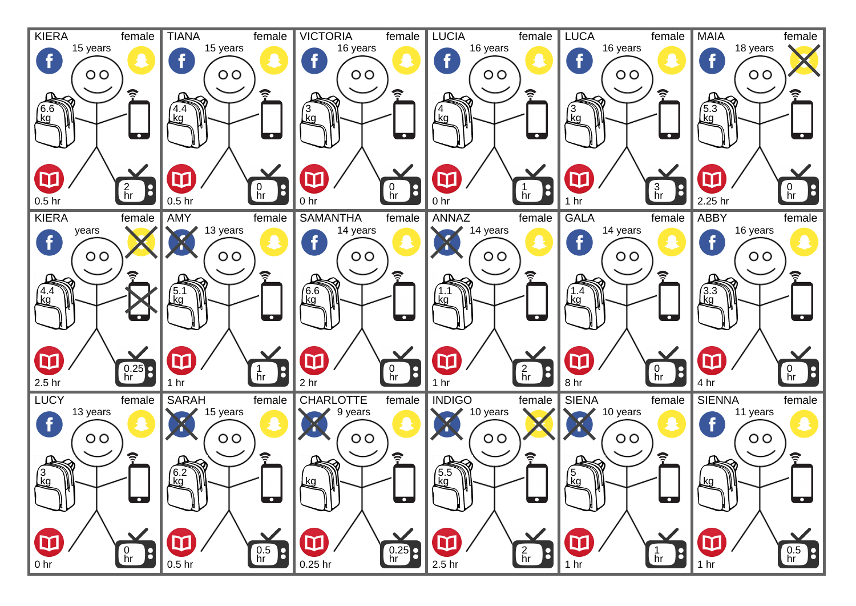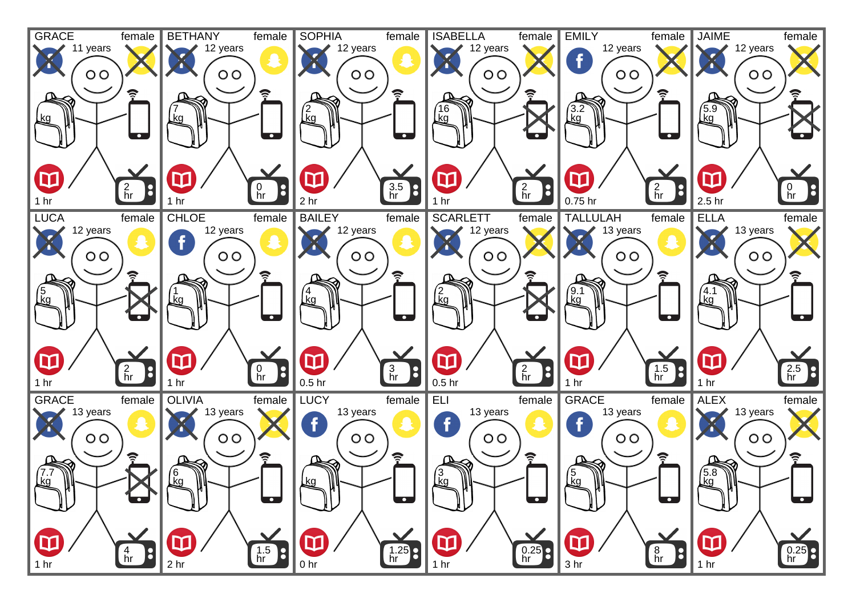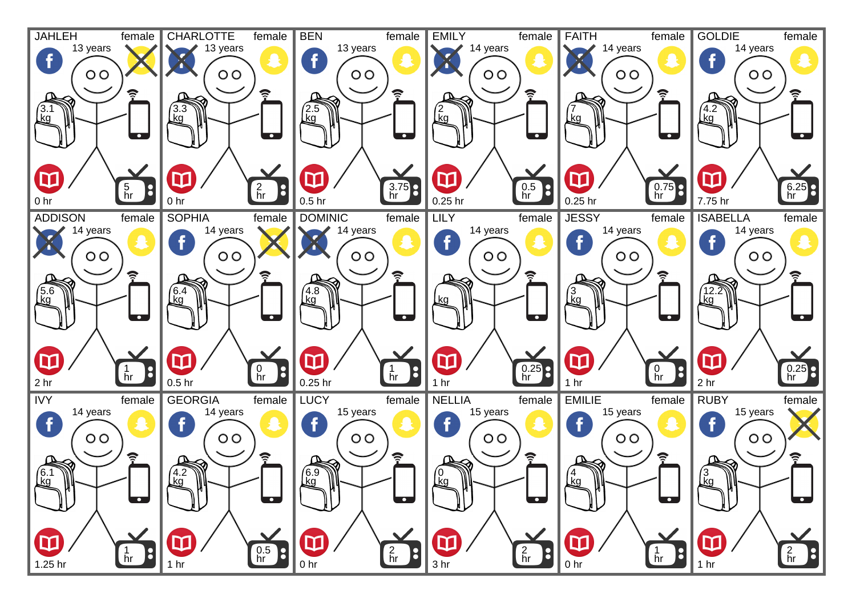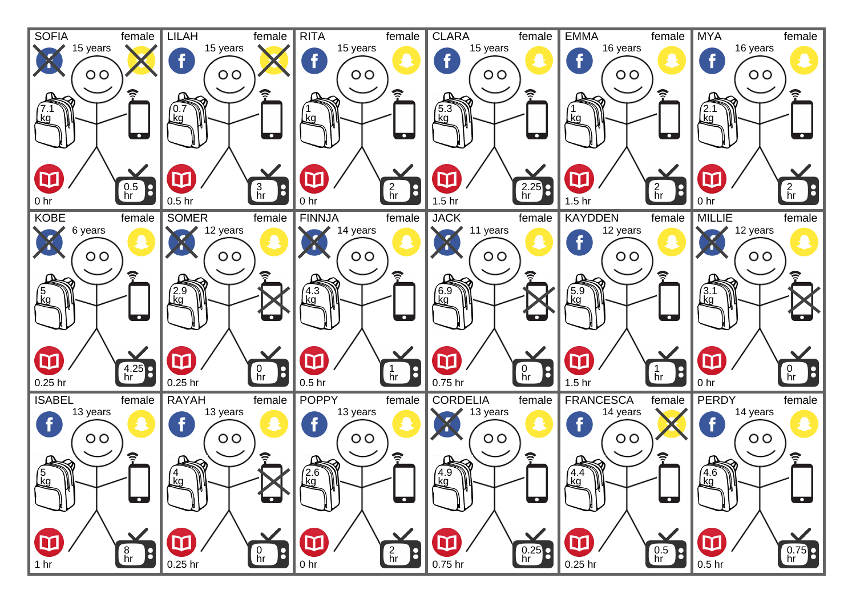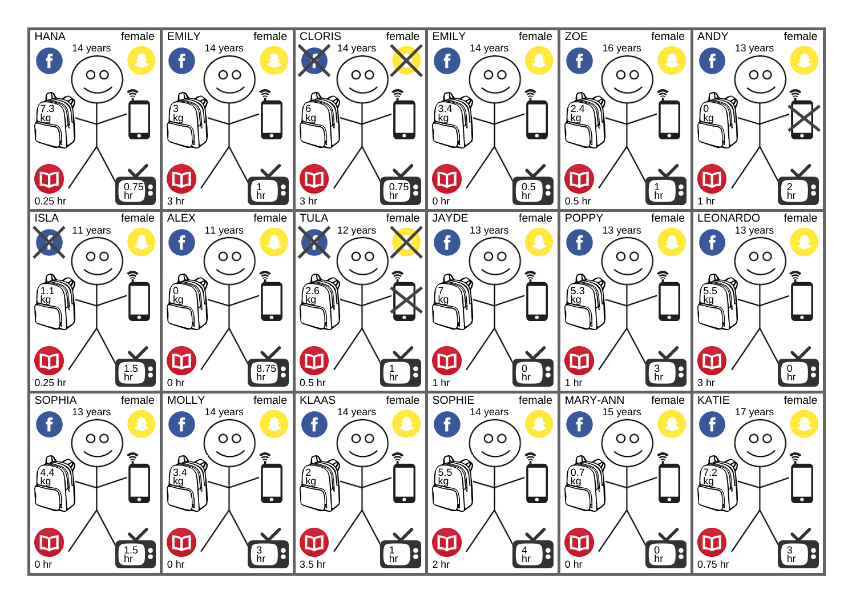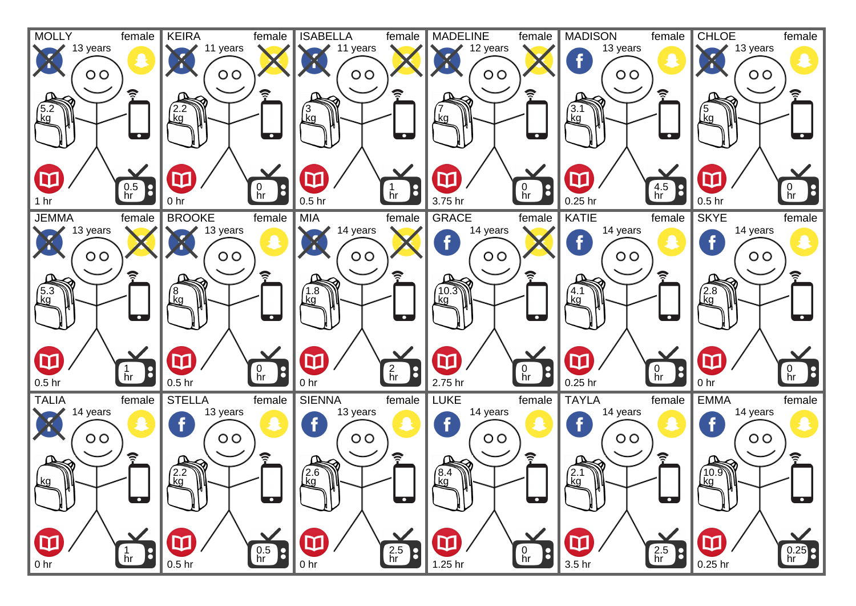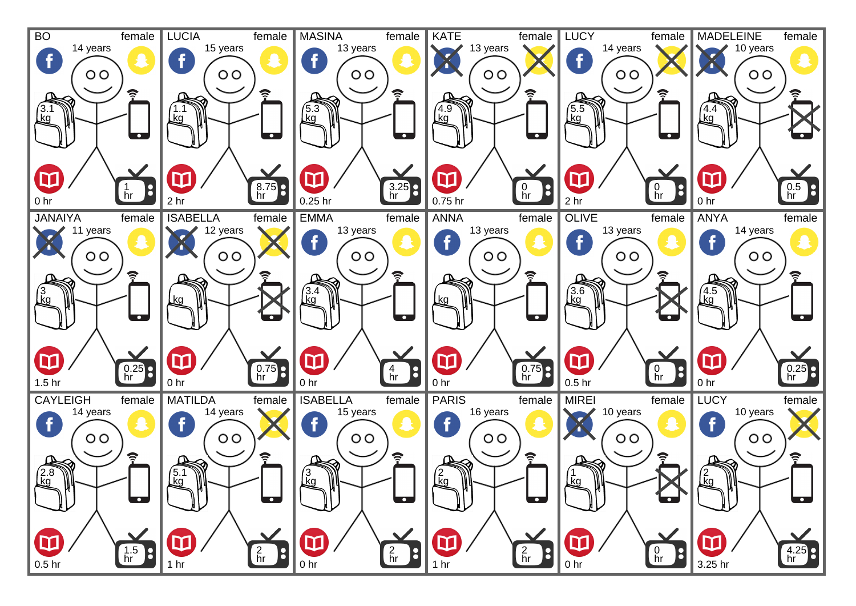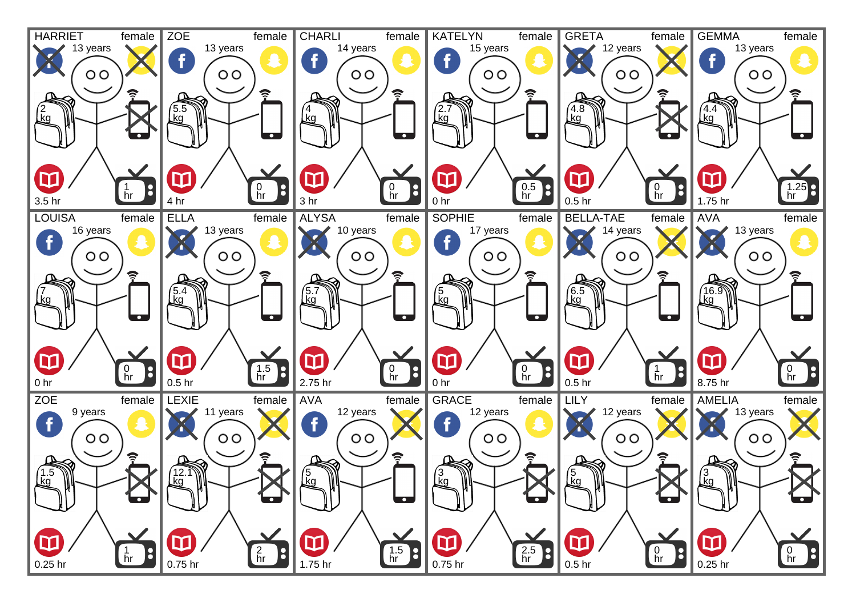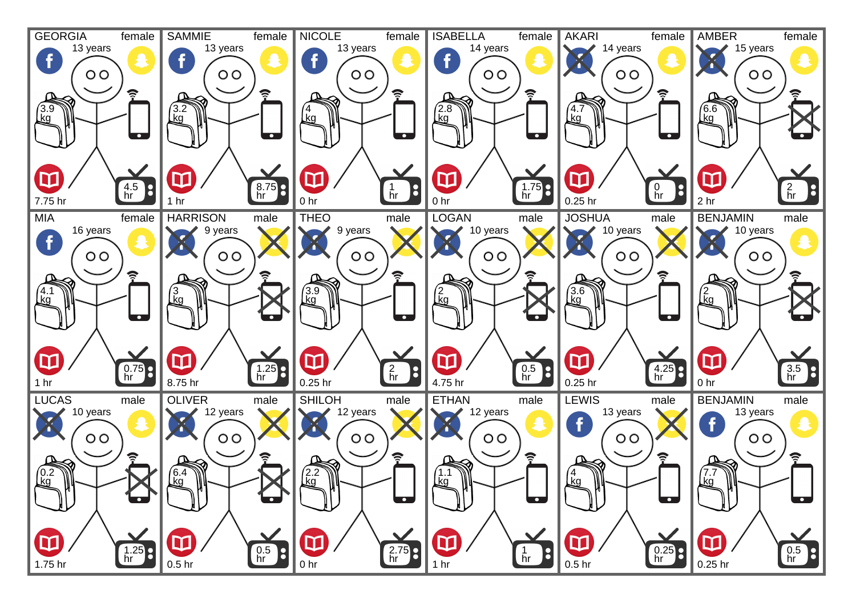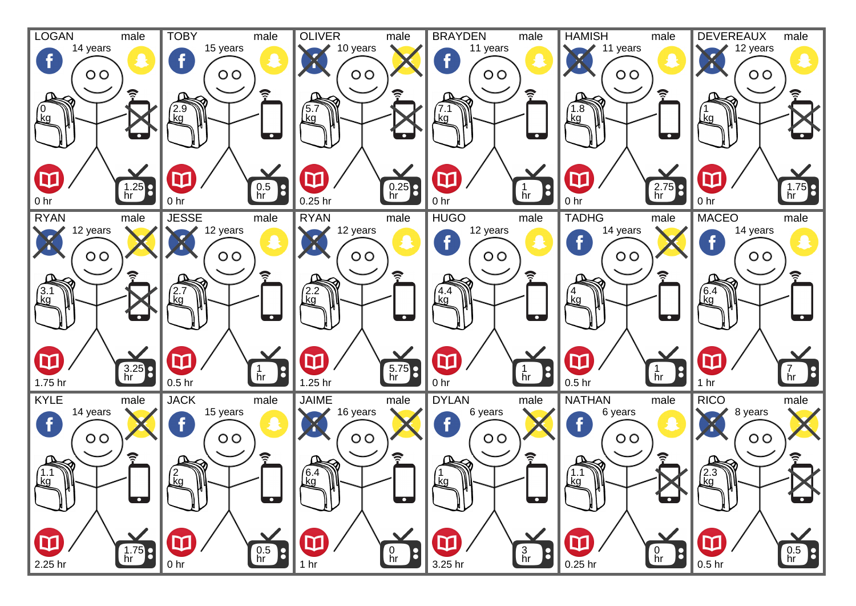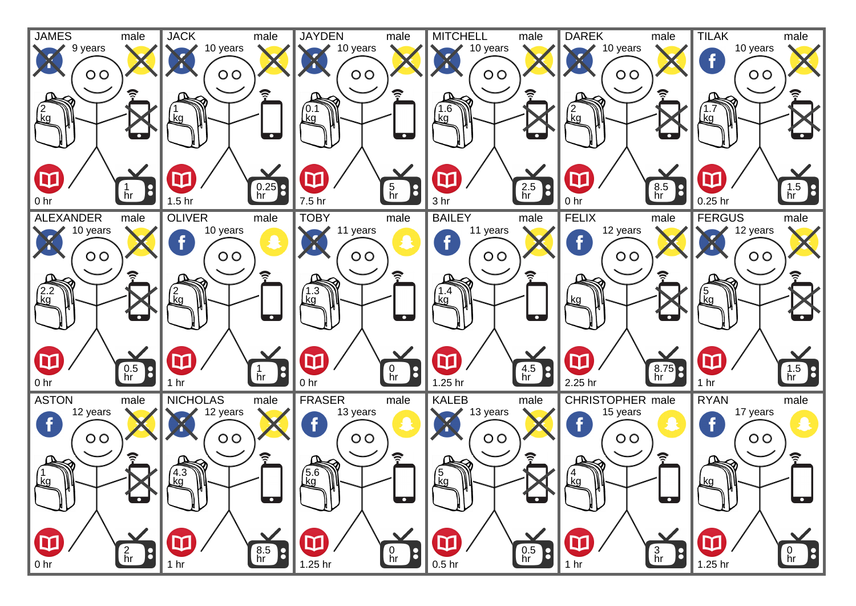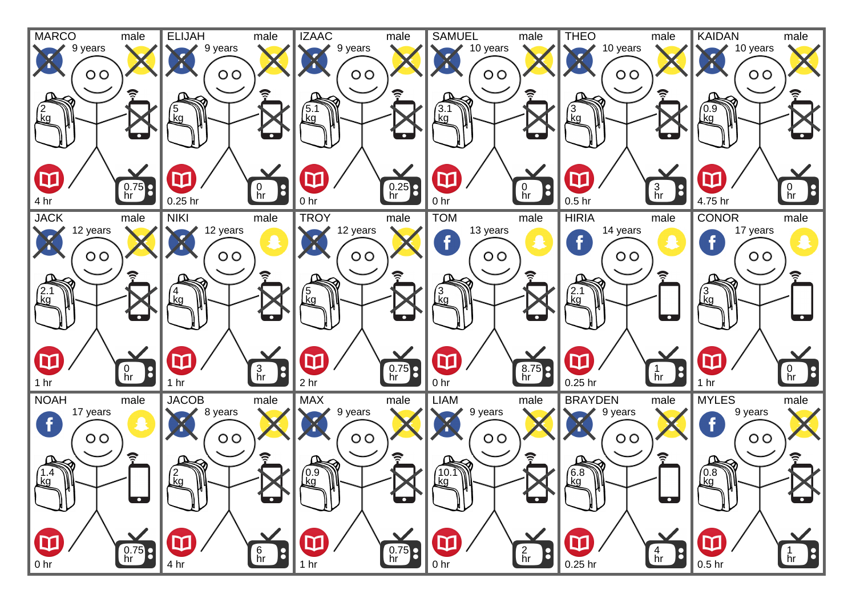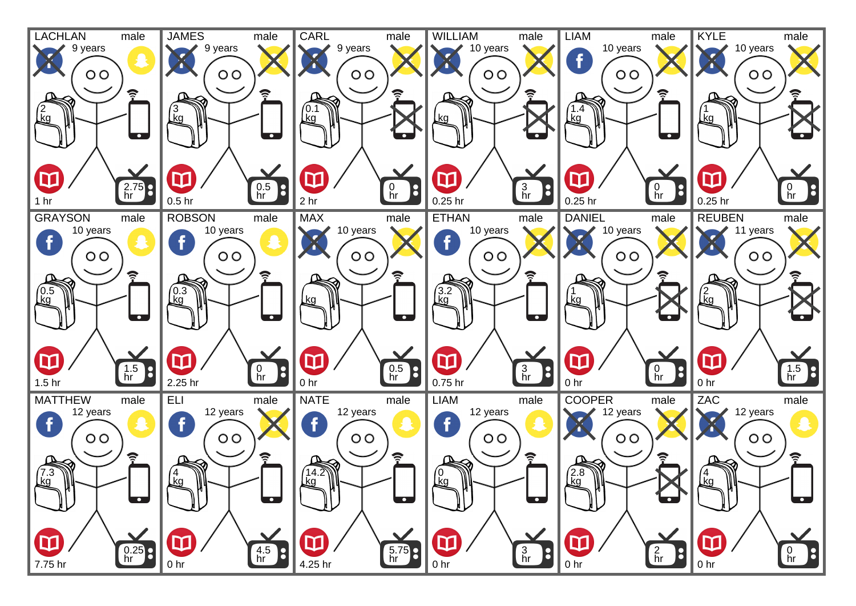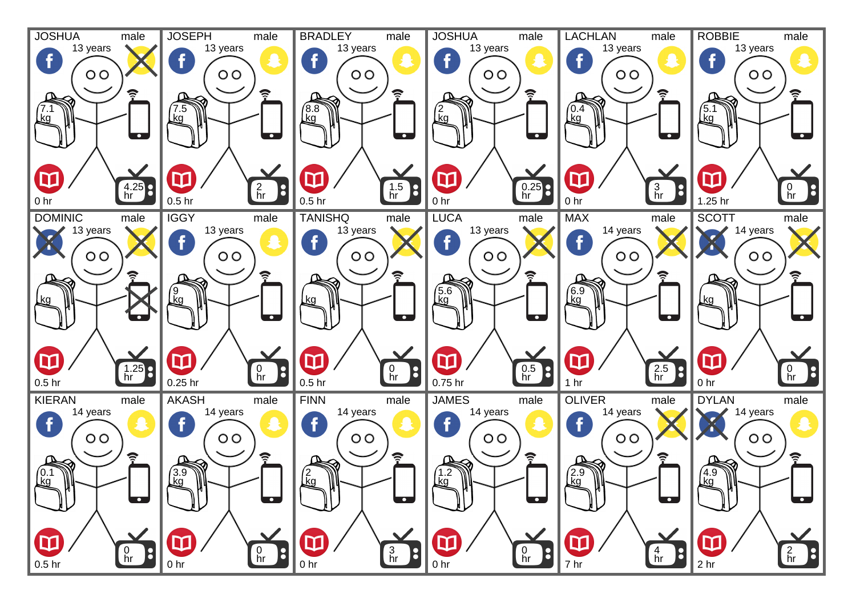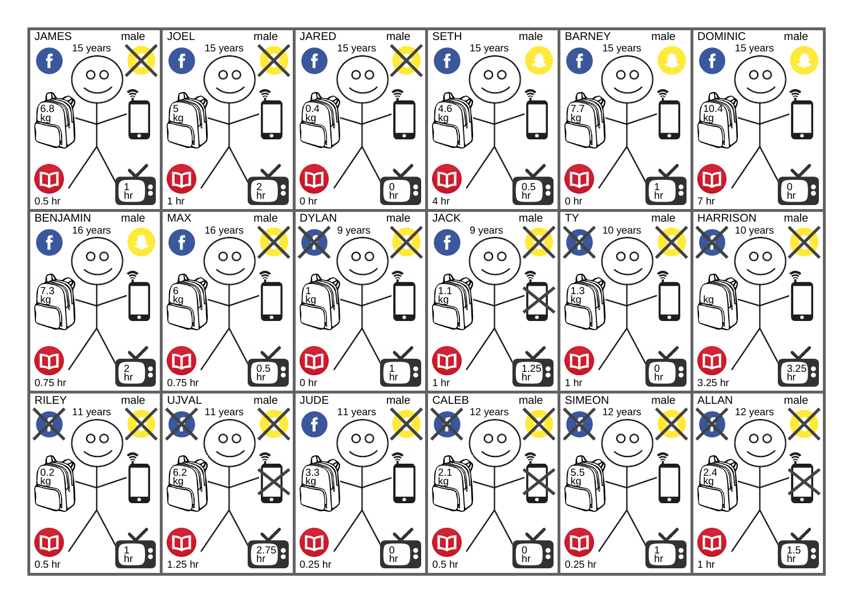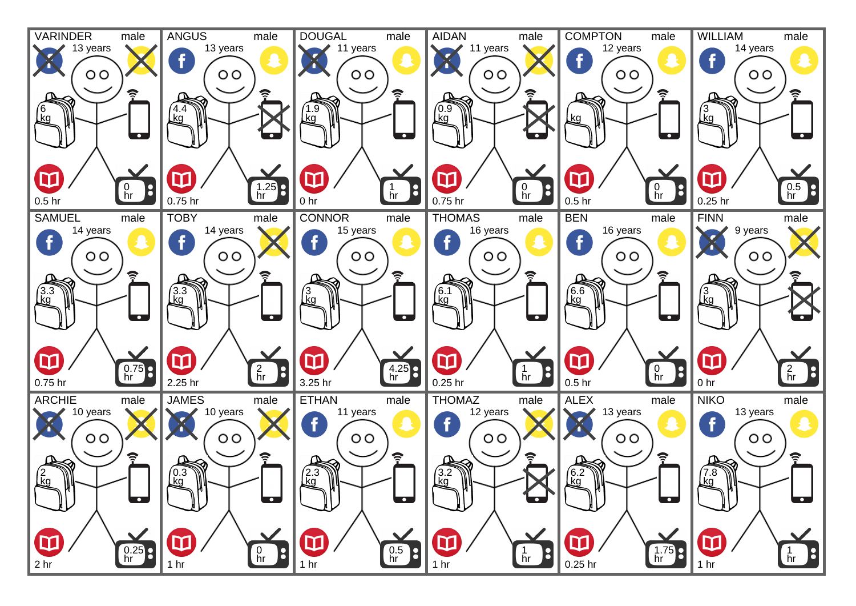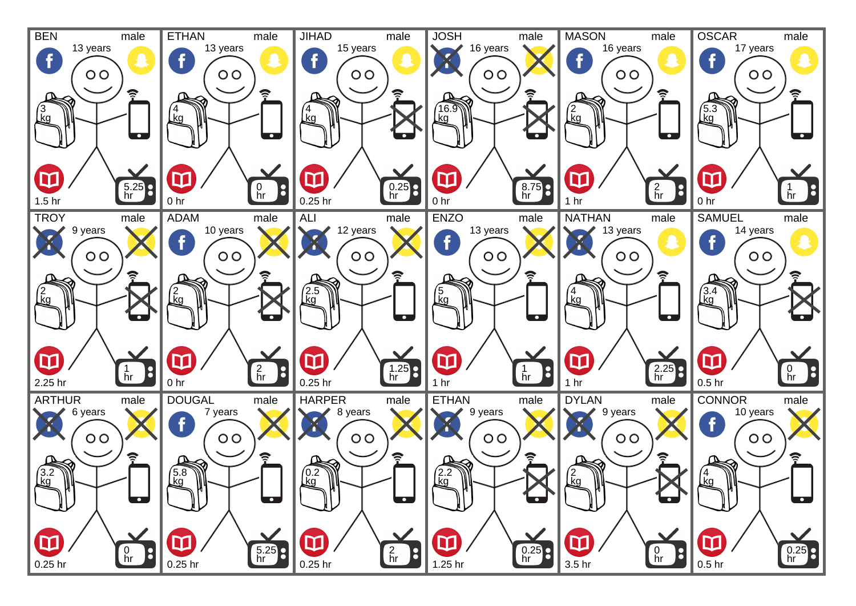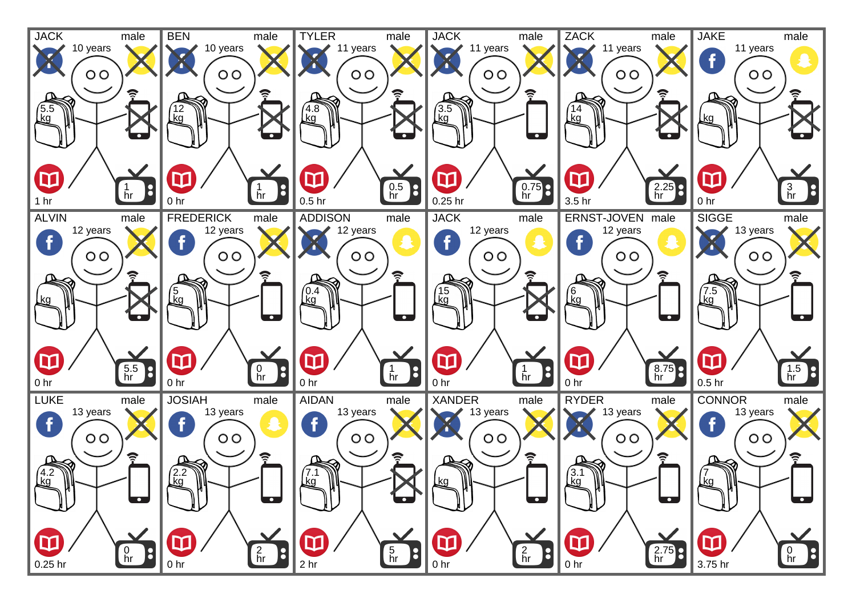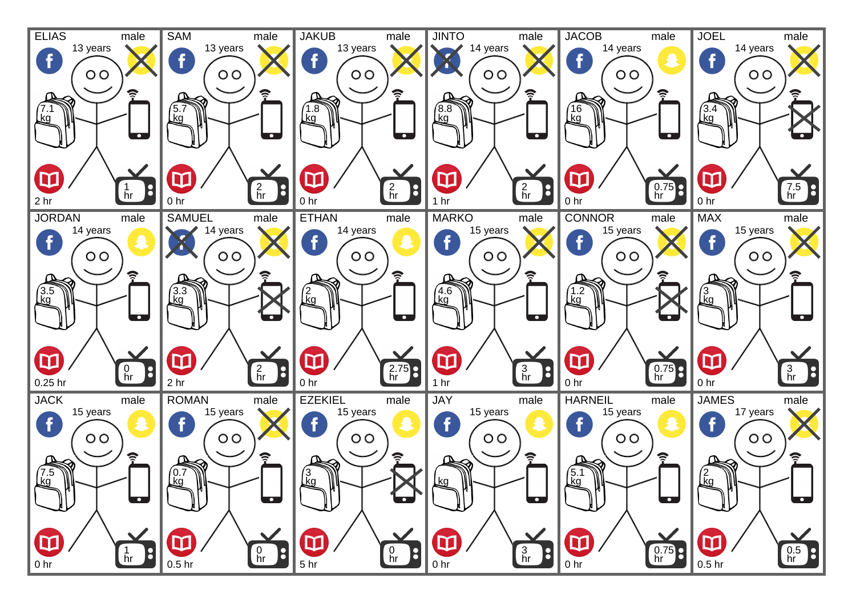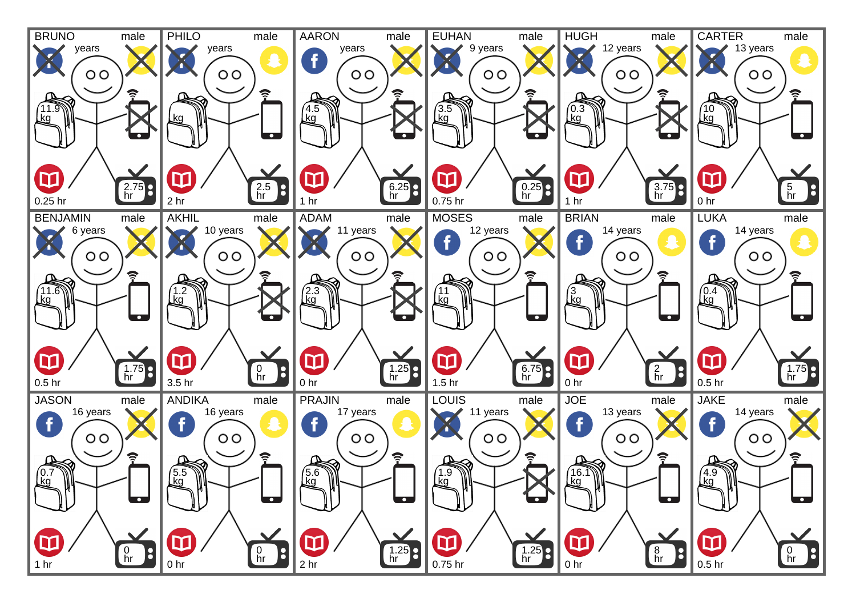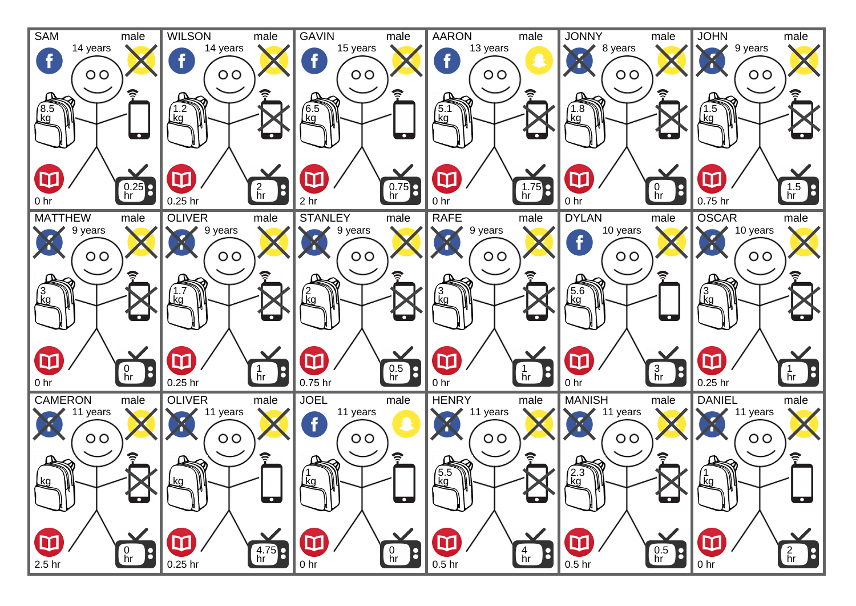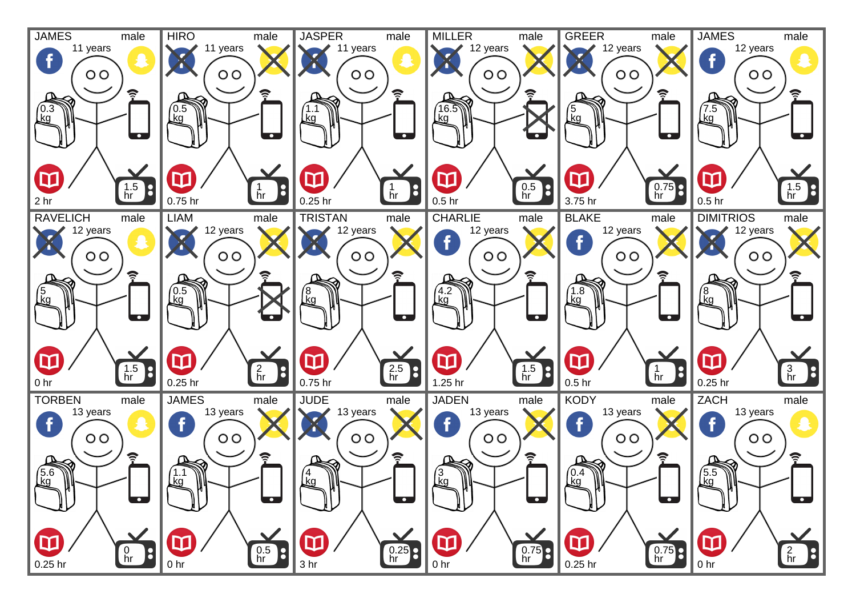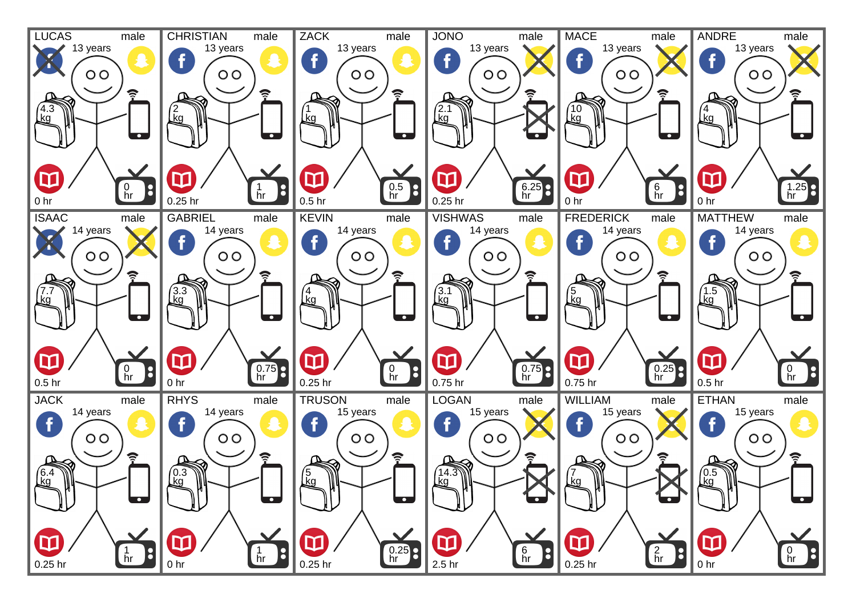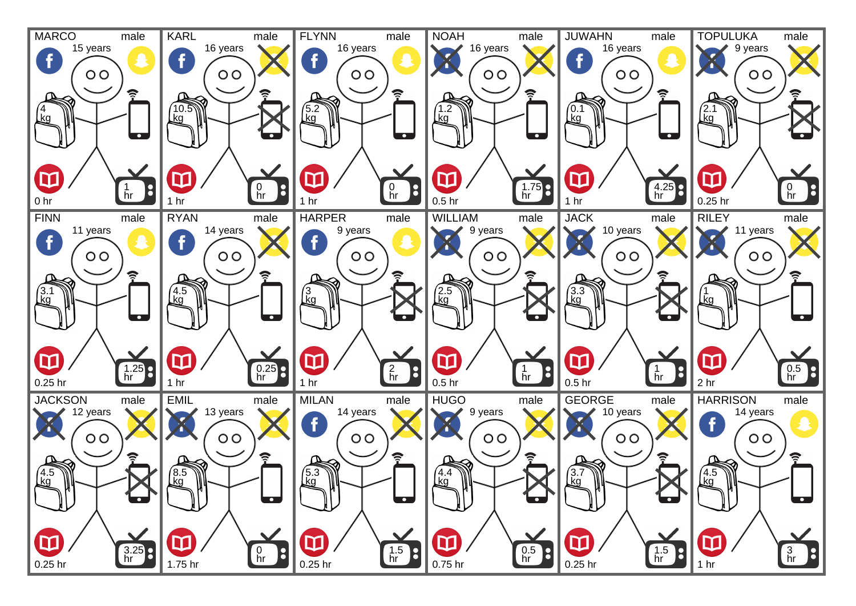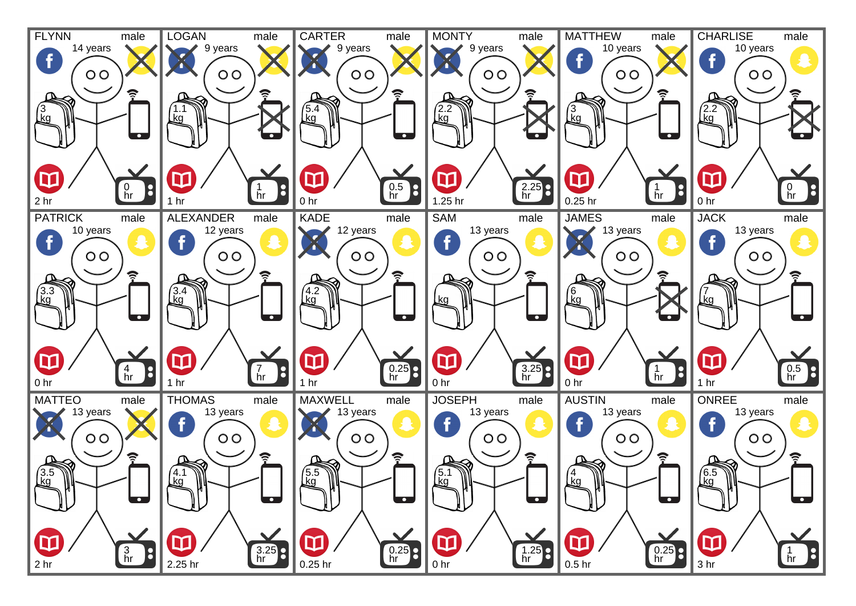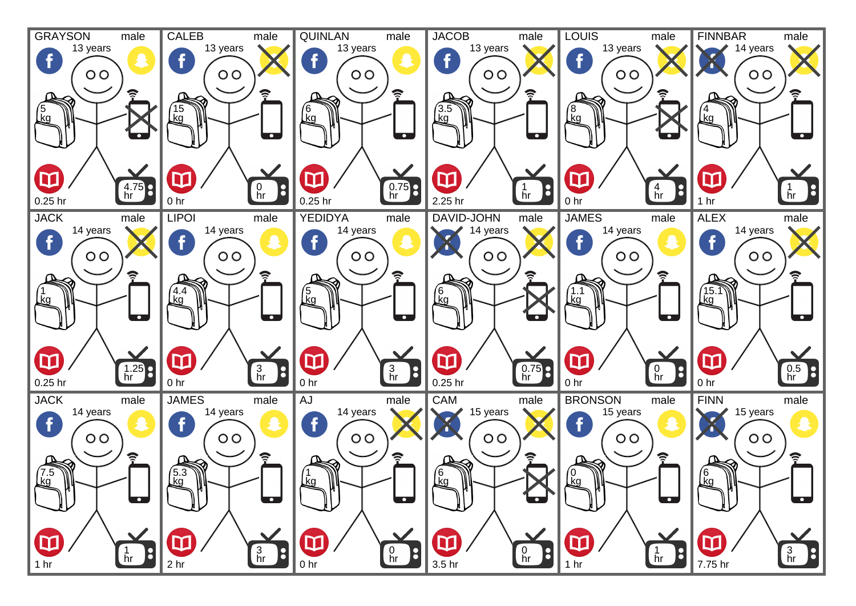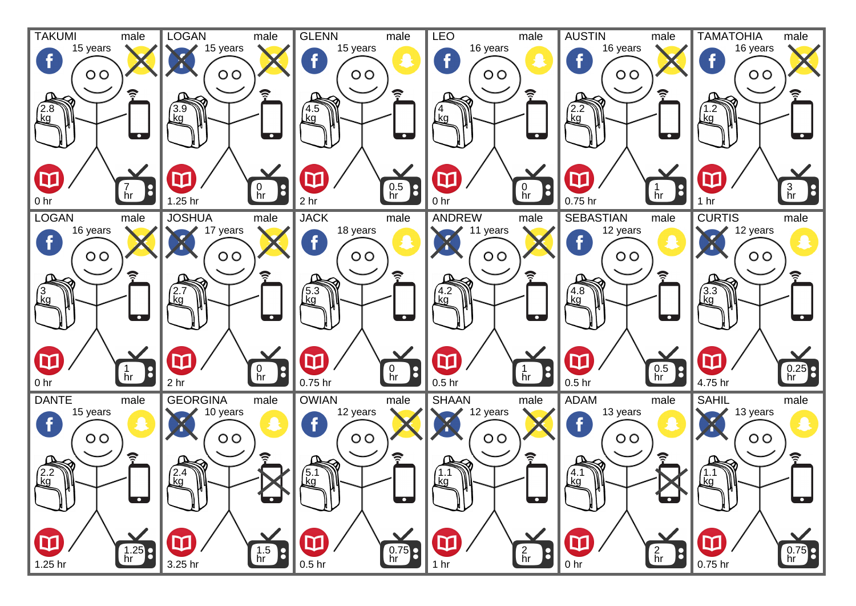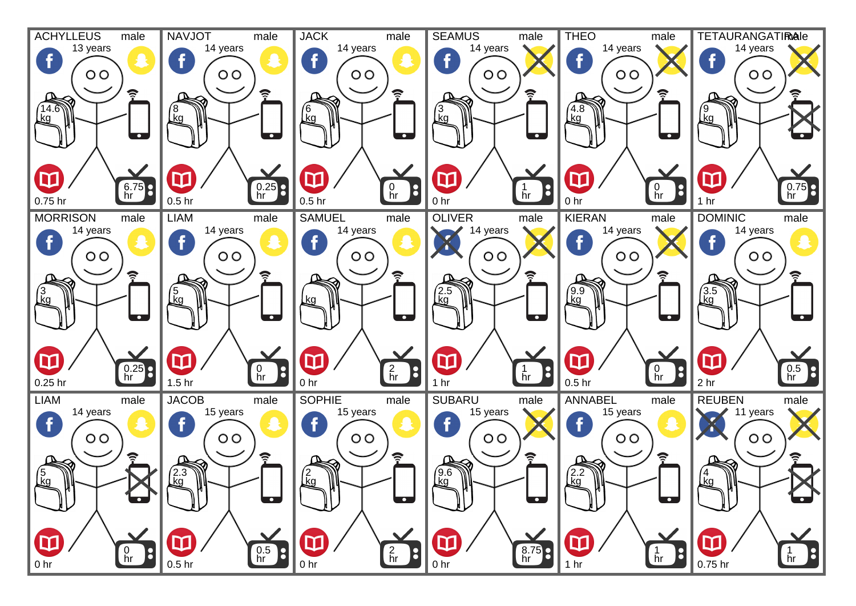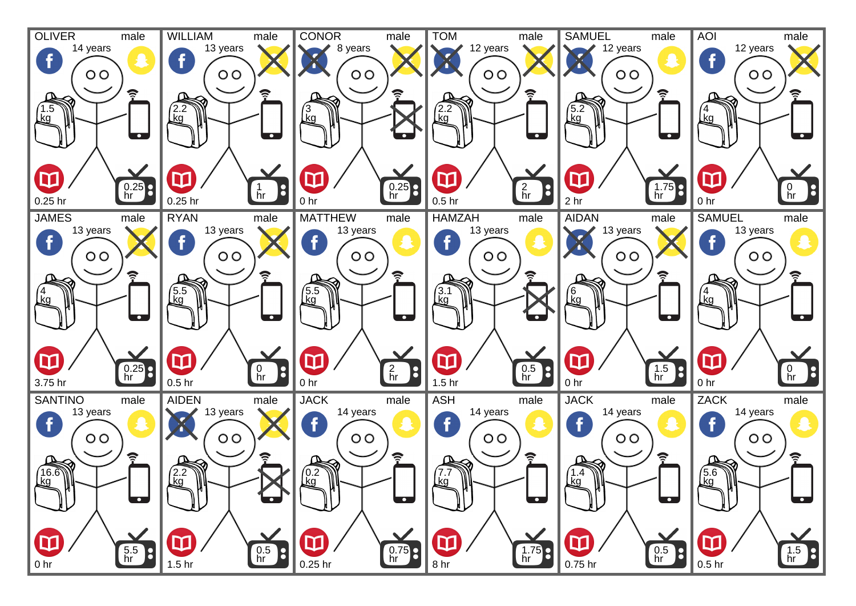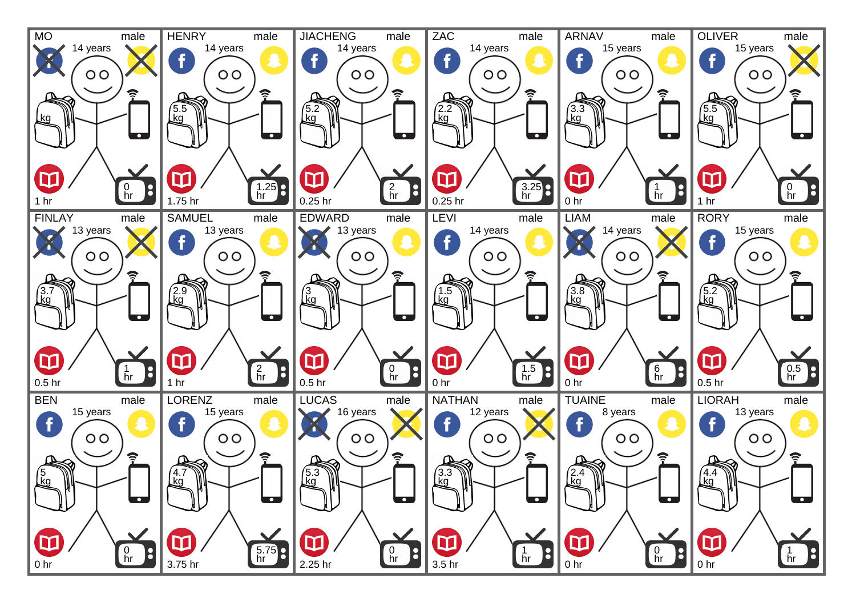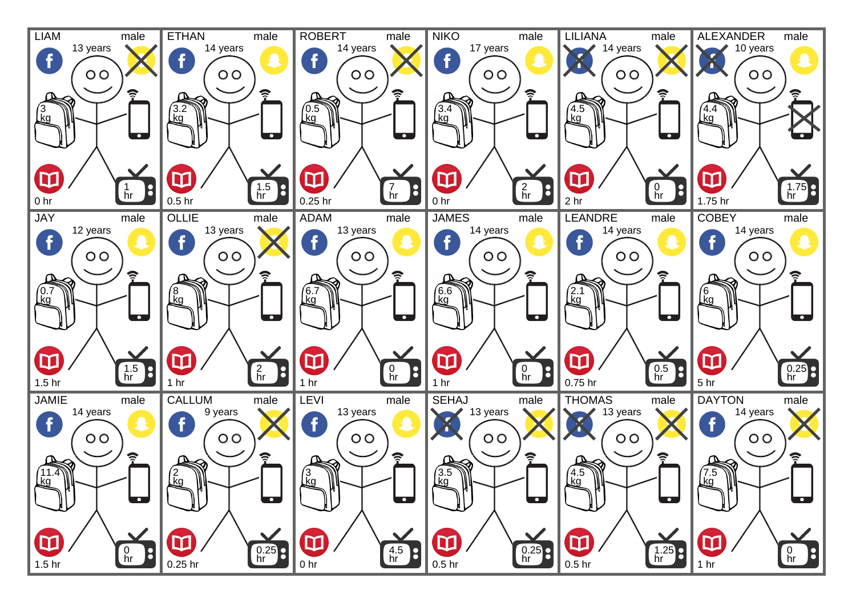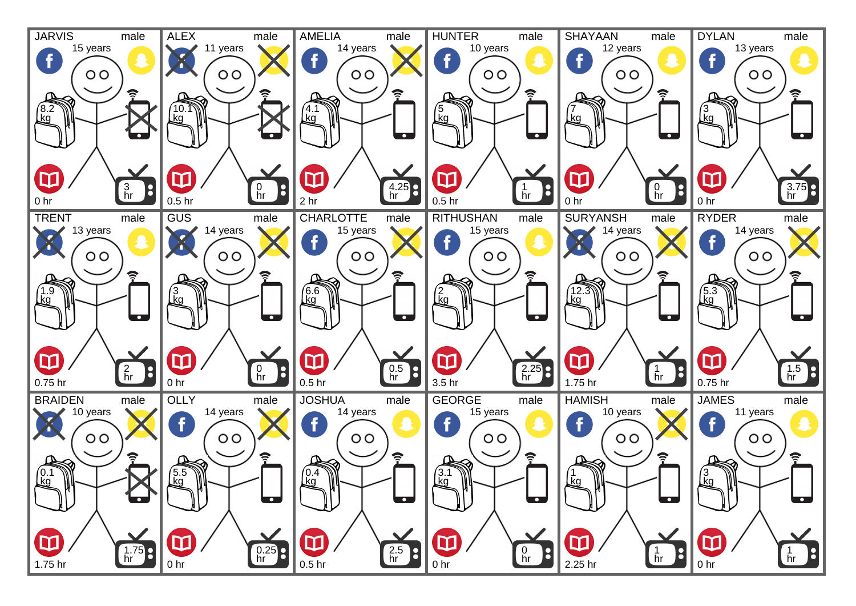